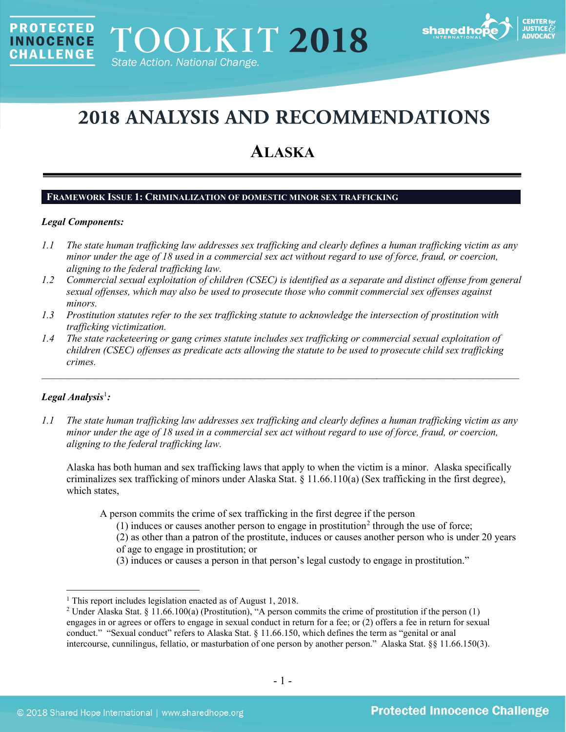

# **2018 ANALYSIS AND RECOMMENDATIONS**

# **ALASKA**

#### **FRAMEWORK ISSUE 1: CRIMINALIZATION OF DOMESTIC MINOR SEX TRAFFICKING**

#### *Legal Components:*

**PROTECTED** 

**INNOCENCE CHALLENGE** 

- *1.1 The state human trafficking law addresses sex trafficking and clearly defines a human trafficking victim as any minor under the age of 18 used in a commercial sex act without regard to use of force, fraud, or coercion, aligning to the federal trafficking law.*
- *1.2 Commercial sexual exploitation of children (CSEC) is identified as a separate and distinct offense from general sexual offenses, which may also be used to prosecute those who commit commercial sex offenses against minors.*
- *1.3 Prostitution statutes refer to the sex trafficking statute to acknowledge the intersection of prostitution with trafficking victimization.*
- *1.4 The state racketeering or gang crimes statute includes sex trafficking or commercial sexual exploitation of children (CSEC) offenses as predicate acts allowing the statute to be used to prosecute child sex trafficking crimes.*

\_\_\_\_\_\_\_\_\_\_\_\_\_\_\_\_\_\_\_\_\_\_\_\_\_\_\_\_\_\_\_\_\_\_\_\_\_\_\_\_\_\_\_\_\_\_\_\_\_\_\_\_\_\_\_\_\_\_\_\_\_\_\_\_\_\_\_\_\_\_\_\_\_\_\_\_\_\_\_\_\_\_\_\_\_\_\_\_\_\_\_\_\_\_

# *Legal Analysis*[1](#page-0-0) *:*

*1.1 The state human trafficking law addresses sex trafficking and clearly defines a human trafficking victim as any minor under the age of 18 used in a commercial sex act without regard to use of force, fraud, or coercion, aligning to the federal trafficking law.*

Alaska has both human and sex trafficking laws that apply to when the victim is a minor. Alaska specifically criminalizes sex trafficking of minors under Alaska Stat. § 11.66.110(a) (Sex trafficking in the first degree), which states,

A person commits the crime of sex trafficking in the first degree if the person

- $(1)$  induces or causes another person to engage in prostitution<sup>[2](#page-0-1)</sup> through the use of force;
- (2) as other than a patron of the prostitute, induces or causes another person who is under 20 years

<span id="page-0-2"></span>of age to engage in prostitution; or

(3) induces or causes a person in that person's legal custody to engage in prostitution."

<span id="page-0-0"></span><sup>&</sup>lt;sup>1</sup> This report includes legislation enacted as of August 1, 2018.

<span id="page-0-1"></span><sup>&</sup>lt;sup>2</sup> Under Alaska Stat. § 11.66.100(a) (Prostitution), "A person commits the crime of prostitution if the person (1) engages in or agrees or offers to engage in sexual conduct in return for a fee; or (2) offers a fee in return for sexual conduct." "Sexual conduct" refers to Alaska Stat. § 11.66.150, which defines the term as "genital or anal intercourse, cunnilingus, fellatio, or masturbation of one person by another person." Alaska Stat. §§ 11.66.150(3).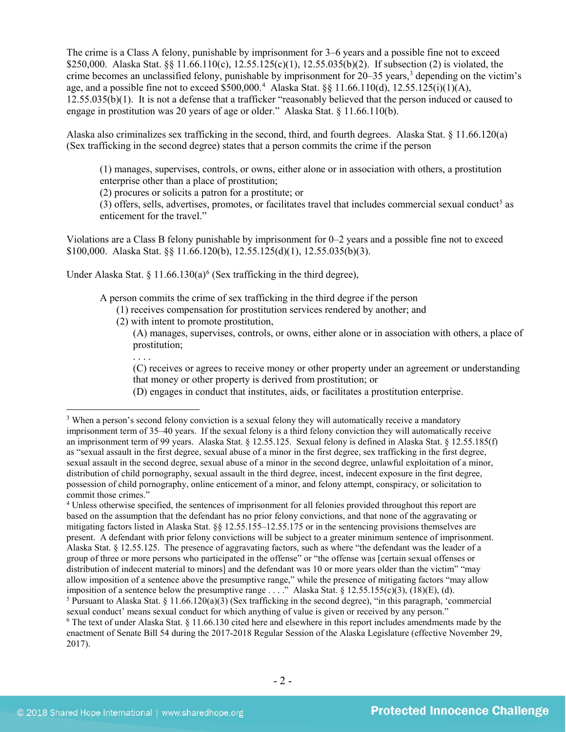The crime is a Class A felony, punishable by imprisonment for 3–6 years and a possible fine not to exceed \$250,000. Alaska Stat. §§ 11.66.110(c), 12.55.125(c)(1), 12.55.035(b)(2). If subsection (2) is violated, the crime becomes an unclassified felony, punishable by imprisonment for  $20-35$  years,<sup>3</sup> depending on the victim's age, and a possible fine not to exceed \$500,000.<sup>[4](#page-1-1)</sup> Alaska Stat.  $\S$  11.66.110(d), 12.55.125(i)(1)(A), 12.55.035(b)(1). It is not a defense that a trafficker "reasonably believed that the person induced or caused to engage in prostitution was 20 years of age or older." Alaska Stat. § 11.66.110(b).

Alaska also criminalizes sex trafficking in the second, third, and fourth degrees. Alaska Stat. § 11.66.120(a) (Sex trafficking in the second degree) states that a person commits the crime if the person

<span id="page-1-4"></span>(1) manages, supervises, controls, or owns, either alone or in association with others, a prostitution enterprise other than a place of prostitution;

(2) procures or solicits a patron for a prostitute; or

(3) offers, sells, advertises, promotes, or facilitates travel that includes commercial sexual conduct<sup>5</sup> as enticement for the travel."

Violations are a Class B felony punishable by imprisonment for 0–2 years and a possible fine not to exceed \$100,000. Alaska Stat. §§ 11.66.120(b), 12.55.125(d)(1), 12.55.035(b)(3).

Under Alaska Stat. § 11.[6](#page-1-3)6.130(a)<sup>6</sup> (Sex trafficking in the third degree),

A person commits the crime of sex trafficking in the third degree if the person

- (1) receives compensation for prostitution services rendered by another; and
- (2) with intent to promote prostitution,

. . . .

<span id="page-1-5"></span>(A) manages, supervises, controls, or owns, either alone or in association with others, a place of prostitution;

(C) receives or agrees to receive money or other property under an agreement or understanding that money or other property is derived from prostitution; or

(D) engages in conduct that institutes, aids, or facilitates a prostitution enterprise.

<span id="page-1-2"></span><sup>5</sup> Pursuant to Alaska Stat. § 11.66.120(a)(3) (Sex trafficking in the second degree), "in this paragraph, "commercial sexual conduct" means sexual conduct for which anything of value is given or received by any person."

<span id="page-1-0"></span><sup>&</sup>lt;sup>3</sup> When a person's second felony conviction is a sexual felony they will automatically receive a mandatory imprisonment term of 35–40 years. If the sexual felony is a third felony conviction they will automatically receive an imprisonment term of 99 years. Alaska Stat. § 12.55.125. Sexual felony is defined in Alaska Stat. § 12.55.185(f) as "sexual assault in the first degree, sexual abuse of a minor in the first degree, sex trafficking in the first degree, sexual assault in the second degree, sexual abuse of a minor in the second degree, unlawful exploitation of a minor, distribution of child pornography, sexual assault in the third degree, incest, indecent exposure in the first degree, possession of child pornography, online enticement of a minor, and felony attempt, conspiracy, or solicitation to commit those crimes."

<span id="page-1-1"></span><sup>&</sup>lt;sup>4</sup> Unless otherwise specified, the sentences of imprisonment for all felonies provided throughout this report are based on the assumption that the defendant has no prior felony convictions, and that none of the aggravating or mitigating factors listed in Alaska Stat. §§ 12.55.155–12.55.175 or in the sentencing provisions themselves are present. A defendant with prior felony convictions will be subject to a greater minimum sentence of imprisonment. Alaska Stat. § 12.55.125. The presence of aggravating factors, such as where "the defendant was the leader of a group of three or more persons who participated in the offense" or "the offense was [certain sexual offenses or distribution of indecent material to minors] and the defendant was 10 or more years older than the victim" "may allow imposition of a sentence above the presumptive range," while the presence of mitigating factors "may allow imposition of a sentence below the presumptive range . . . ." Alaska Stat. § 12.55.155(c)(3), (18)(E), (d).

<span id="page-1-3"></span> $\delta$  The text of under Alaska Stat. § 11.66.130 cited here and elsewhere in this report includes amendments made by the enactment of Senate Bill 54 during the 2017-2018 Regular Session of the Alaska Legislature (effective November 29, 2017).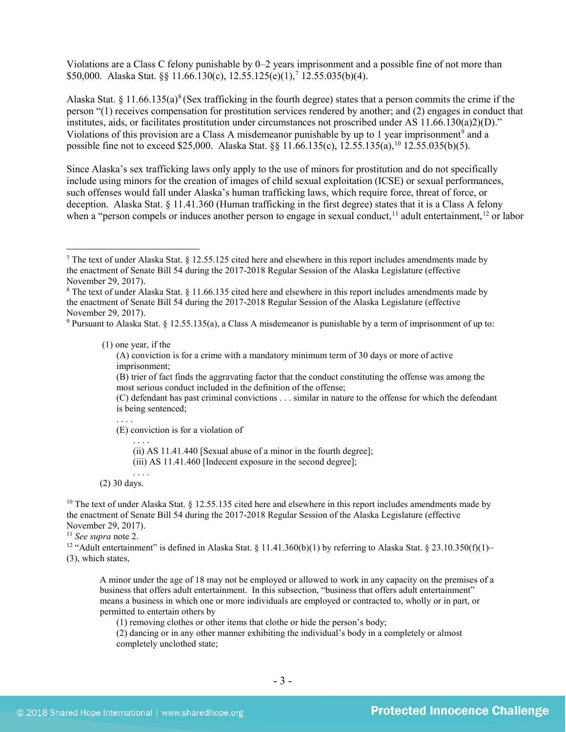<span id="page-2-6"></span>Violations are a Class C felony punishable by 0–2 years imprisonment and a possible fine of not more than \$50,000. Alaska Stat. §§ 11.66.130(c), 12.55.125(e)(1), [7](#page-2-0) 12.55.035(b)(4).

<span id="page-2-9"></span><span id="page-2-8"></span>Alaska Stat. § 11.66.135(a)<sup>[8](#page-2-1)</sup> (Sex trafficking in the fourth degree) states that a person commits the crime if the person "(1) receives compensation for prostitution services rendered by another; and (2) engages in conduct that institutes, aids, or facilitates prostitution under circumstances not proscribed under AS 11.66.130(a)2)(D)." Violations of this provision are a Class A misdemeanor punishable by up to 1 year imprisonment<sup>[9](#page-2-2)</sup> and a possible fine not to exceed \$25,000. Alaska Stat. §§ 11.66.135(c), 12.55.135(a),<sup>[10](#page-2-3)</sup> 12.55.035(b)(5).

<span id="page-2-7"></span>Since Alaska's sex trafficking laws only apply to the use of minors for prostitution and do not specifically include using minors for the creation of images of child sexual exploitation (ICSE) or sexual performances, such offenses would fall under Alaska's human trafficking laws, which require force, threat of force, or deception. Alaska Stat. § 11.41.360 (Human trafficking in the first degree) states that it is a Class A felony when a "person compels or induces another person to engage in sexual conduct,<sup>[11](#page-2-4)</sup> adult entertainment,<sup>[12](#page-2-5)</sup> or labor

(1) one year, if the

(A) conviction is for a crime with a mandatory minimum term of 30 days or more of active imprisonment;

(B) trier of fact finds the aggravating factor that the conduct constituting the offense was among the most serious conduct included in the definition of the offense;

(C) defendant has past criminal convictions . . . similar in nature to the offense for which the defendant is being sentenced;

(E) conviction is for a violation of . . . .

(ii) AS 11.41.440 [Sexual abuse of a minor in the fourth degree];

(iii) AS 11.41.460 [Indecent exposure in the second degree];

. . . . (2) 30 days.

<span id="page-2-3"></span><sup>10</sup> The text of under Alaska Stat.  $\S$  12.55.135 cited here and elsewhere in this report includes amendments made by the enactment of Senate Bill 54 during the 2017-2018 Regular Session of the Alaska Legislature (effective November 29, 2017).

<span id="page-2-4"></span><sup>11</sup> *See supra* note [2.](#page-0-2)

<span id="page-2-5"></span><sup>12</sup> "Adult entertainment" is defined in Alaska Stat. § 11.41.360(b)(1) by referring to Alaska Stat. § 23.10.350(f)(1)– (3), which states,

A minor under the age of 18 may not be employed or allowed to work in any capacity on the premises of a business that offers adult entertainment. In this subsection, "business that offers adult entertainment" means a business in which one or more individuals are employed or contracted to, wholly or in part, or permitted to entertain others by

(1) removing clothes or other items that clothe or hide the person's body;

(2) dancing or in any other manner exhibiting the individual's body in a completely or almost completely unclothed state;

<span id="page-2-0"></span> <sup>7</sup> The text of under Alaska Stat. § 12.55.125 cited here and elsewhere in this report includes amendments made by the enactment of Senate Bill 54 during the 2017-2018 Regular Session of the Alaska Legislature (effective November 29, 2017).

<span id="page-2-1"></span><sup>8</sup> The text of under Alaska Stat. § 11.66.135 cited here and elsewhere in this report includes amendments made by the enactment of Senate Bill 54 during the 2017-2018 Regular Session of the Alaska Legislature (effective November 29, 2017).

<span id="page-2-2"></span><sup>9</sup> Pursuant to Alaska Stat. § 12.55.135(a), a Class A misdemeanor is punishable by a term of imprisonment of up to: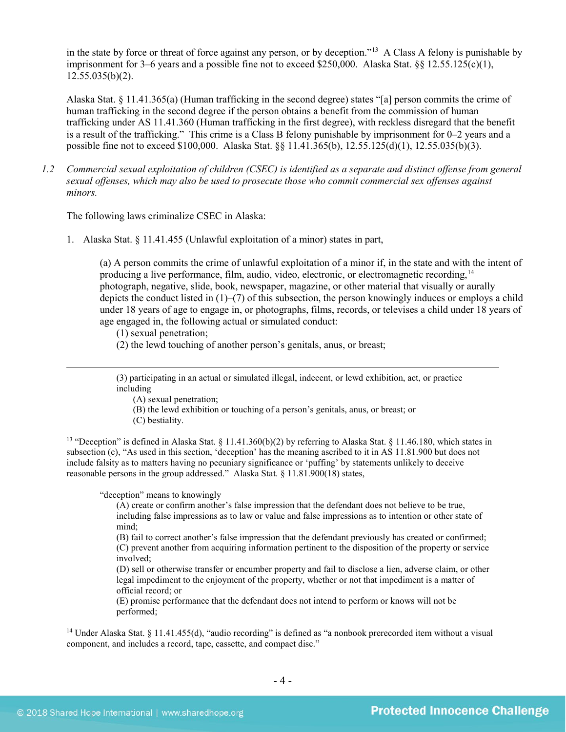in the state by force or threat of force against any person, or by deception."[13](#page-3-0) A Class A felony is punishable by imprisonment for 3–6 years and a possible fine not to exceed \$250,000. Alaska Stat.  $\S$  12.55.125(c)(1),  $12.55.035(b)(2)$ .

Alaska Stat. § 11.41.365(a) (Human trafficking in the second degree) states "[a] person commits the crime of human trafficking in the second degree if the person obtains a benefit from the commission of human trafficking under AS 11.41.360 (Human trafficking in the first degree), with reckless disregard that the benefit is a result of the trafficking." This crime is a Class B felony punishable by imprisonment for 0–2 years and a possible fine not to exceed \$100,000. Alaska Stat. §§ 11.41.365(b), 12.55.125(d)(1), 12.55.035(b)(3).

*1.2 Commercial sexual exploitation of children (CSEC) is identified as a separate and distinct offense from general sexual offenses, which may also be used to prosecute those who commit commercial sex offenses against minors.*

The following laws criminalize CSEC in Alaska:

1. Alaska Stat. § 11.41.455 (Unlawful exploitation of a minor) states in part,

(a) A person commits the crime of unlawful exploitation of a minor if, in the state and with the intent of producing a live performance, film, audio, video, electronic, or electromagnetic recording, <sup>[14](#page-3-1)</sup> photograph, negative, slide, book, newspaper, magazine, or other material that visually or aurally depicts the conduct listed in (1)–(7) of this subsection, the person knowingly induces or employs a child under 18 years of age to engage in, or photographs, films, records, or televises a child under 18 years of age engaged in, the following actual or simulated conduct:

(1) sexual penetration;

 $\overline{a}$ 

(2) the lewd touching of another person's genitals, anus, or breast;

(3) participating in an actual or simulated illegal, indecent, or lewd exhibition, act, or practice including

(A) sexual penetration;

- (B) the lewd exhibition or touching of a person's genitals, anus, or breast; or
- (C) bestiality.

<span id="page-3-0"></span><sup>13</sup> "Deception" is defined in Alaska Stat.  $\S$  11.41.360(b)(2) by referring to Alaska Stat.  $\S$  11.46.180, which states in subsection (c), "As used in this section, 'deception' has the meaning ascribed to it in AS 11.81.900 but does not include falsity as to matters having no pecuniary significance or 'puffing' by statements unlikely to deceive reasonable persons in the group addressed." Alaska Stat. § 11.81.900(18) states,

"deception" means to knowingly

(A) create or confirm another's false impression that the defendant does not believe to be true, including false impressions as to law or value and false impressions as to intention or other state of mind;

(B) fail to correct another's false impression that the defendant previously has created or confirmed; (C) prevent another from acquiring information pertinent to the disposition of the property or service involved;

(D) sell or otherwise transfer or encumber property and fail to disclose a lien, adverse claim, or other legal impediment to the enjoyment of the property, whether or not that impediment is a matter of official record; or

(E) promise performance that the defendant does not intend to perform or knows will not be performed;

<span id="page-3-1"></span><sup>14</sup> Under Alaska Stat. § 11.41.455(d), "audio recording" is defined as "a nonbook prerecorded item without a visual component, and includes a record, tape, cassette, and compact disc."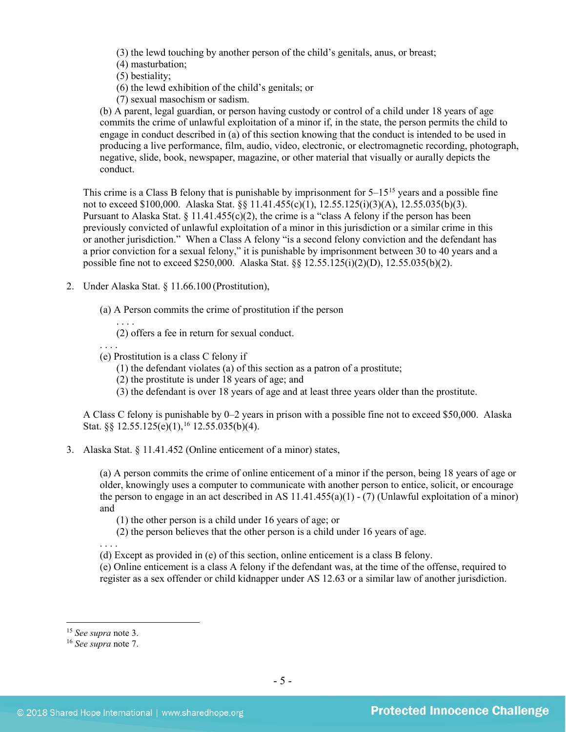(3) the lewd touching by another person of the child's genitals, anus, or breast;

(4) masturbation;

(5) bestiality;

(6) the lewd exhibition of the child's genitals; or

(7) sexual masochism or sadism.

(b) A parent, legal guardian, or person having custody or control of a child under 18 years of age commits the crime of unlawful exploitation of a minor if, in the state, the person permits the child to engage in conduct described in (a) of this section knowing that the conduct is intended to be used in producing a live performance, film, audio, video, electronic, or electromagnetic recording, photograph, negative, slide, book, newspaper, magazine, or other material that visually or aurally depicts the conduct.

This crime is a Class B felony that is punishable by imprisonment for  $5-15^{15}$  $5-15^{15}$  $5-15^{15}$  years and a possible fine not to exceed \$100,000. Alaska Stat. §§ 11.41.455(c)(1), 12.55.125(i)(3)(A), 12.55.035(b)(3). Pursuant to Alaska Stat.  $\S 11.41.455(c)(2)$ , the crime is a "class A felony if the person has been previously convicted of unlawful exploitation of a minor in this jurisdiction or a similar crime in this or another jurisdiction." When a Class A felony "is a second felony conviction and the defendant has a prior conviction for a sexual felony," it is punishable by imprisonment between 30 to 40 years and a possible fine not to exceed \$250,000. Alaska Stat. §§ 12.55.125(i)(2)(D), 12.55.035(b)(2).

- 2. Under Alaska Stat. § 11.66.100 (Prostitution),
	- (a) A Person commits the crime of prostitution if the person

. . . . (2) offers a fee in return for sexual conduct.

(e) Prostitution is a class C felony if

(1) the defendant violates (a) of this section as a patron of a prostitute;

(2) the prostitute is under 18 years of age; and

(3) the defendant is over 18 years of age and at least three years older than the prostitute.

A Class C felony is punishable by 0–2 years in prison with a possible fine not to exceed \$50,000. Alaska Stat. §§ 12.55.125(e)(1), [16](#page-4-1) 12.55.035(b)(4).

3. Alaska Stat. § 11.41.452 (Online enticement of a minor) states,

(a) A person commits the crime of online enticement of a minor if the person, being 18 years of age or older, knowingly uses a computer to communicate with another person to entice, solicit, or encourage the person to engage in an act described in AS  $11.41.455(a)(1) - (7)$  (Unlawful exploitation of a minor) and

(1) the other person is a child under 16 years of age; or

(2) the person believes that the other person is a child under 16 years of age.

. . . . (d) Except as provided in (e) of this section, online enticement is a class B felony.

(e) Online enticement is a class A felony if the defendant was, at the time of the offense, required to register as a sex offender or child kidnapper under AS 12.63 or a similar law of another jurisdiction.

. . . .

<span id="page-4-0"></span> <sup>15</sup> *See supra* note [3.](#page-1-4)

<span id="page-4-1"></span><sup>16</sup> *See supra* note [7.](#page-2-6)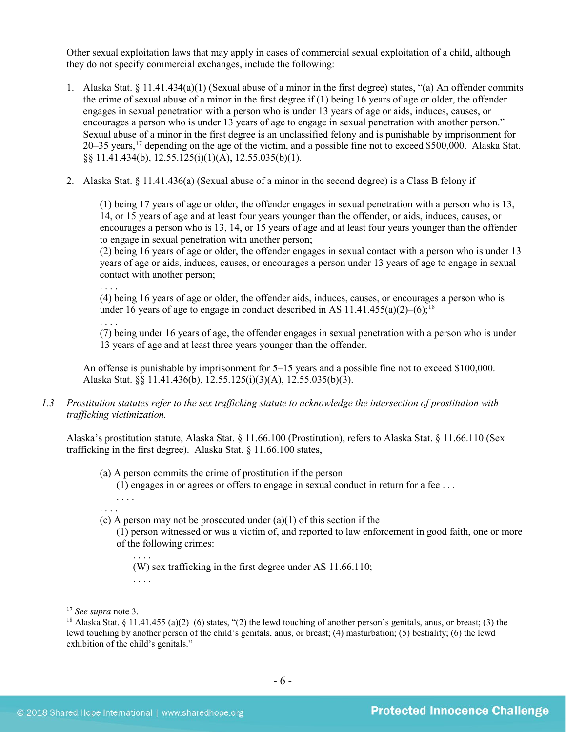Other sexual exploitation laws that may apply in cases of commercial sexual exploitation of a child, although they do not specify commercial exchanges, include the following:

- 1. Alaska Stat. § 11.41.434(a)(1) (Sexual abuse of a minor in the first degree) states, "(a) An offender commits the crime of sexual abuse of a minor in the first degree if (1) being 16 years of age or older, the offender engages in sexual penetration with a person who is under 13 years of age or aids, induces, causes, or encourages a person who is under 13 years of age to engage in sexual penetration with another person." Sexual abuse of a minor in the first degree is an unclassified felony and is punishable by imprisonment for 20–35 years,<sup>[17](#page-5-0)</sup> depending on the age of the victim, and a possible fine not to exceed \$500,000. Alaska Stat. §§ 11.41.434(b), 12.55.125(i)(1)(A), 12.55.035(b)(1).
- 2. Alaska Stat. § 11.41.436(a) (Sexual abuse of a minor in the second degree) is a Class B felony if

(1) being 17 years of age or older, the offender engages in sexual penetration with a person who is 13, 14, or 15 years of age and at least four years younger than the offender, or aids, induces, causes, or encourages a person who is 13, 14, or 15 years of age and at least four years younger than the offender to engage in sexual penetration with another person;

(2) being 16 years of age or older, the offender engages in sexual contact with a person who is under 13 years of age or aids, induces, causes, or encourages a person under 13 years of age to engage in sexual contact with another person;

. . . .

(4) being 16 years of age or older, the offender aids, induces, causes, or encourages a person who is under 16 years of age to engage in conduct described in AS 11.41.455(a)(2)–(6);<sup>[18](#page-5-1)</sup>

. . . .

(7) being under 16 years of age, the offender engages in sexual penetration with a person who is under 13 years of age and at least three years younger than the offender.

An offense is punishable by imprisonment for 5–15 years and a possible fine not to exceed \$100,000. Alaska Stat. §§ 11.41.436(b), 12.55.125(i)(3)(A), 12.55.035(b)(3).

*1.3 Prostitution statutes refer to the sex trafficking statute to acknowledge the intersection of prostitution with trafficking victimization.* 

Alaska's prostitution statute, Alaska Stat. § 11.66.100 (Prostitution), refers to Alaska Stat. § 11.66.110 (Sex trafficking in the first degree). Alaska Stat. § 11.66.100 states,

(a) A person commits the crime of prostitution if the person

(1) engages in or agrees or offers to engage in sexual conduct in return for a fee . . .

- . . . . . . . .
- (c) A person may not be prosecuted under  $(a)(1)$  of this section if the

(1) person witnessed or was a victim of, and reported to law enforcement in good faith, one or more of the following crimes:

. . . . (W) sex trafficking in the first degree under AS 11.66.110; . . . .

 <sup>17</sup> *See supra* note [3.](#page-1-4)

<span id="page-5-1"></span><span id="page-5-0"></span><sup>&</sup>lt;sup>18</sup> Alaska Stat. § 11.41.455 (a)(2)–(6) states, "(2) the lewd touching of another person's genitals, anus, or breast; (3) the lewd touching by another person of the child's genitals, anus, or breast; (4) masturbation; (5) bestiality; (6) the lewd exhibition of the child's genitals."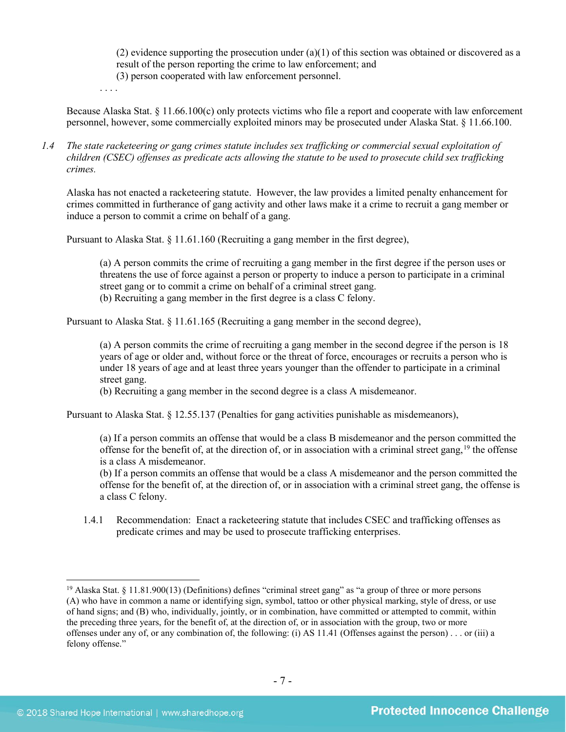(2) evidence supporting the prosecution under  $(a)(1)$  of this section was obtained or discovered as a result of the person reporting the crime to law enforcement; and (3) person cooperated with law enforcement personnel.

. . . .

Because Alaska Stat. § 11.66.100(c) only protects victims who file a report and cooperate with law enforcement personnel, however, some commercially exploited minors may be prosecuted under Alaska Stat. § 11.66.100.

*1.4 The state racketeering or gang crimes statute includes sex trafficking or commercial sexual exploitation of children (CSEC) offenses as predicate acts allowing the statute to be used to prosecute child sex trafficking crimes.* 

Alaska has not enacted a racketeering statute. However, the law provides a limited penalty enhancement for crimes committed in furtherance of gang activity and other laws make it a crime to recruit a gang member or induce a person to commit a crime on behalf of a gang.

Pursuant to Alaska Stat. § 11.61.160 (Recruiting a gang member in the first degree),

(a) A person commits the crime of recruiting a gang member in the first degree if the person uses or threatens the use of force against a person or property to induce a person to participate in a criminal street gang or to commit a crime on behalf of a criminal street gang. (b) Recruiting a gang member in the first degree is a class C felony.

Pursuant to Alaska Stat. § 11.61.165 (Recruiting a gang member in the second degree),

(a) A person commits the crime of recruiting a gang member in the second degree if the person is 18 years of age or older and, without force or the threat of force, encourages or recruits a person who is under 18 years of age and at least three years younger than the offender to participate in a criminal street gang.

(b) Recruiting a gang member in the second degree is a class A misdemeanor.

Pursuant to Alaska Stat. § 12.55.137 (Penalties for gang activities punishable as misdemeanors),

(a) If a person commits an offense that would be a class B misdemeanor and the person committed the offense for the benefit of, at the direction of, or in association with a criminal street gang,  $19$  the offense is a class A misdemeanor.

(b) If a person commits an offense that would be a class A misdemeanor and the person committed the offense for the benefit of, at the direction of, or in association with a criminal street gang, the offense is a class C felony.

1.4.1 Recommendation: Enact a racketeering statute that includes CSEC and trafficking offenses as predicate crimes and may be used to prosecute trafficking enterprises.

<span id="page-6-0"></span><sup>&</sup>lt;sup>19</sup> Alaska Stat. § 11.81.900(13) (Definitions) defines "criminal street gang" as "a group of three or more persons (A) who have in common a name or identifying sign, symbol, tattoo or other physical marking, style of dress, or use of hand signs; and (B) who, individually, jointly, or in combination, have committed or attempted to commit, within the preceding three years, for the benefit of, at the direction of, or in association with the group, two or more offenses under any of, or any combination of, the following: (i) AS 11.41 (Offenses against the person) . . . or (iii) a felony offense."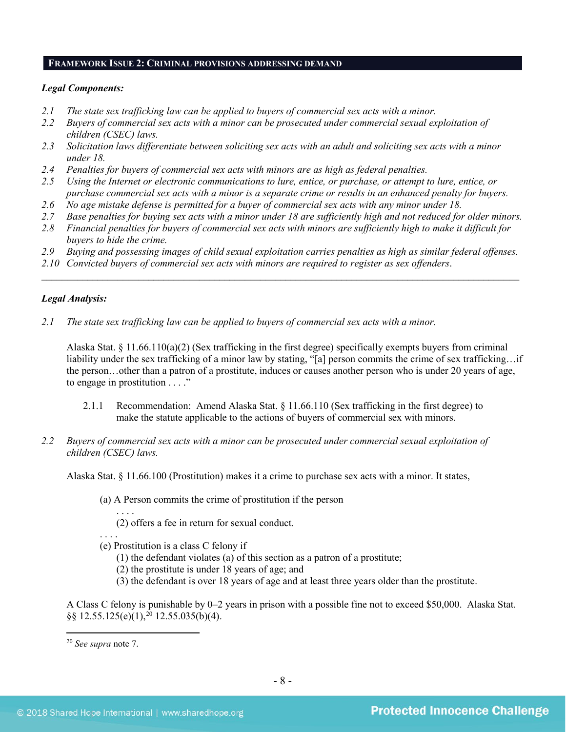### **FRAMEWORK ISSUE 2: CRIMINAL PROVISIONS ADDRESSING DEMAND**

#### *Legal Components:*

- *2.1 The state sex trafficking law can be applied to buyers of commercial sex acts with a minor.*
- *2.2 Buyers of commercial sex acts with a minor can be prosecuted under commercial sexual exploitation of children (CSEC) laws.*
- *2.3 Solicitation laws differentiate between soliciting sex acts with an adult and soliciting sex acts with a minor under 18.*
- *2.4 Penalties for buyers of commercial sex acts with minors are as high as federal penalties.*
- *2.5 Using the Internet or electronic communications to lure, entice, or purchase, or attempt to lure, entice, or purchase commercial sex acts with a minor is a separate crime or results in an enhanced penalty for buyers.*
- *2.6 No age mistake defense is permitted for a buyer of commercial sex acts with any minor under 18.*
- *2.7 Base penalties for buying sex acts with a minor under 18 are sufficiently high and not reduced for older minors.*
- *2.8 Financial penalties for buyers of commercial sex acts with minors are sufficiently high to make it difficult for buyers to hide the crime.*
- *2.9 Buying and possessing images of child sexual exploitation carries penalties as high as similar federal offenses.*

\_\_\_\_\_\_\_\_\_\_\_\_\_\_\_\_\_\_\_\_\_\_\_\_\_\_\_\_\_\_\_\_\_\_\_\_\_\_\_\_\_\_\_\_\_\_\_\_\_\_\_\_\_\_\_\_\_\_\_\_\_\_\_\_\_\_\_\_\_\_\_\_\_\_\_\_\_\_\_\_\_\_\_\_\_\_\_\_\_\_\_\_\_\_

*2.10 Convicted buyers of commercial sex acts with minors are required to register as sex offenders*.

# *Legal Analysis:*

*2.1 The state sex trafficking law can be applied to buyers of commercial sex acts with a minor.*

Alaska Stat. § 11.66.110(a)(2) (Sex trafficking in the first degree) specifically exempts buyers from criminal liability under the sex trafficking of a minor law by stating, "[a] person commits the crime of sex trafficking…if the person…other than a patron of a prostitute, induces or causes another person who is under 20 years of age, to engage in prostitution . . . ."

- 2.1.1 Recommendation: Amend Alaska Stat. § 11.66.110 (Sex trafficking in the first degree) to make the statute applicable to the actions of buyers of commercial sex with minors.
- *2.2 Buyers of commercial sex acts with a minor can be prosecuted under commercial sexual exploitation of children (CSEC) laws.*

Alaska Stat. § 11.66.100 (Prostitution) makes it a crime to purchase sex acts with a minor. It states,

(a) A Person commits the crime of prostitution if the person

. . . . (2) offers a fee in return for sexual conduct.

. . . . (e) Prostitution is a class C felony if

- (1) the defendant violates (a) of this section as a patron of a prostitute;
- (2) the prostitute is under 18 years of age; and
- (3) the defendant is over 18 years of age and at least three years older than the prostitute.

A Class C felony is punishable by 0–2 years in prison with a possible fine not to exceed \$50,000. Alaska Stat. §§ 12.55.125(e)(1), [20](#page-7-0) 12.55.035(b)(4).

<span id="page-7-0"></span> <sup>20</sup> *See supra* note [7.](#page-2-6)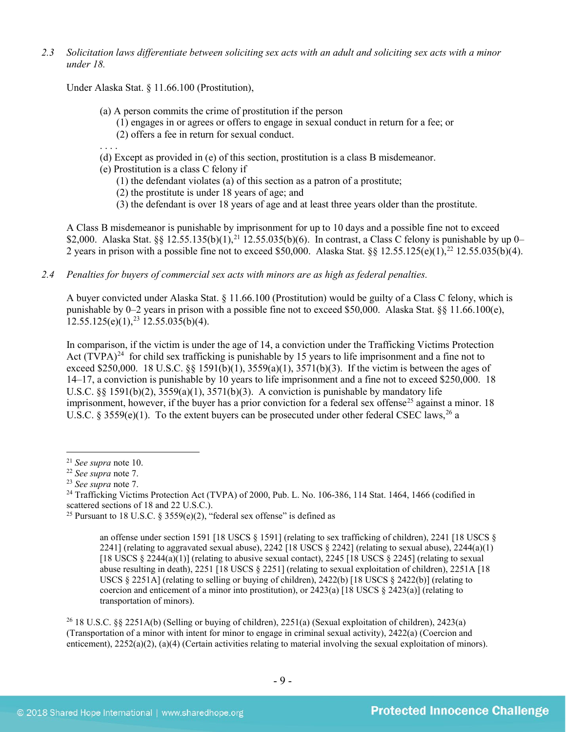*2.3 Solicitation laws differentiate between soliciting sex acts with an adult and soliciting sex acts with a minor under 18.*

Under Alaska Stat. § 11.66.100 (Prostitution),

- (a) A person commits the crime of prostitution if the person
	- (1) engages in or agrees or offers to engage in sexual conduct in return for a fee; or
	- (2) offers a fee in return for sexual conduct.
- . . . . (d) Except as provided in (e) of this section, prostitution is a class B misdemeanor.

(e) Prostitution is a class C felony if

(1) the defendant violates (a) of this section as a patron of a prostitute;

(2) the prostitute is under 18 years of age; and

(3) the defendant is over 18 years of age and at least three years older than the prostitute.

A Class B misdemeanor is punishable by imprisonment for up to 10 days and a possible fine not to exceed \$2,000. Alaska Stat. §§ 12.55.135(b)(1),<sup>[21](#page-8-0)</sup> 12.55.035(b)(6). In contrast, a Class C felony is punishable by up 0– 2 years in prison with a possible fine not to exceed \$50,000. Alaska Stat.  $\S § 12.55.125(e)(1)$ ,<sup>[22](#page-8-1)</sup> 12.55.035(b)(4).

*2.4 Penalties for buyers of commercial sex acts with minors are as high as federal penalties.*

A buyer convicted under Alaska Stat. § 11.66.100 (Prostitution) would be guilty of a Class C felony, which is punishable by 0–2 years in prison with a possible fine not to exceed \$50,000. Alaska Stat. §§ 11.66.100(e),  $12.55.125(e)(1),<sup>23</sup>12.55.035(b)(4).$  $12.55.125(e)(1),<sup>23</sup>12.55.035(b)(4).$  $12.55.125(e)(1),<sup>23</sup>12.55.035(b)(4).$ 

<span id="page-8-6"></span>In comparison, if the victim is under the age of 14, a conviction under the Trafficking Victims Protection Act  $(TVPA)^{24}$  $(TVPA)^{24}$  $(TVPA)^{24}$  for child sex trafficking is punishable by 15 years to life imprisonment and a fine not to exceed \$250,000. 18 U.S.C. §§ 1591(b)(1),  $3559(a)(1)$ ,  $3571(b)(3)$ . If the victim is between the ages of 14–17, a conviction is punishable by 10 years to life imprisonment and a fine not to exceed \$250,000. 18 U.S.C.  $\S$ § 1591(b)(2), 3559(a)(1), 3571(b)(3). A conviction is punishable by mandatory life imprisonment, however, if the buyer has a prior conviction for a federal sex offense<sup>[25](#page-8-4)</sup> against a minor. 18 U.S.C. § 3559(e)(1). To the extent buyers can be prosecuted under other federal CSEC laws,  $^{26}$  a

<span id="page-8-5"></span><sup>26</sup> 18 U.S.C. §§ 2251A(b) (Selling or buying of children), 2251(a) (Sexual exploitation of children), 2423(a) (Transportation of a minor with intent for minor to engage in criminal sexual activity), 2422(a) (Coercion and enticement), 2252(a)(2), (a)(4) (Certain activities relating to material involving the sexual exploitation of minors).

<span id="page-8-0"></span> <sup>21</sup> *See supra* note [10.](#page-2-7)

<span id="page-8-1"></span><sup>22</sup> *See supra* note [7.](#page-2-6)

<span id="page-8-2"></span><sup>23</sup> *See supra* note [7.](#page-2-6)

<span id="page-8-3"></span><sup>&</sup>lt;sup>24</sup> Trafficking Victims Protection Act (TVPA) of 2000, Pub. L. No. 106-386, 114 Stat. 1464, 1466 (codified in scattered sections of 18 and 22 U.S.C.).

<span id="page-8-4"></span><sup>&</sup>lt;sup>25</sup> Pursuant to 18 U.S.C. § 3559(e)(2), "federal sex offense" is defined as

<span id="page-8-7"></span>an offense under section 1591 [18 USCS § 1591] (relating to sex trafficking of children), 2241 [18 USCS § 2241] (relating to aggravated sexual abuse), 2242 [18 USCS  $\S$  2242] (relating to sexual abuse), 2244(a)(1) [18 USCS  $\S$  2244(a)(1)] (relating to abusive sexual contact), 2245 [18 USCS  $\S$  2245] (relating to sexual abuse resulting in death), 2251 [18 USCS § 2251] (relating to sexual exploitation of children), 2251A [18 USCS § 2251A] (relating to selling or buying of children), 2422(b) [18 USCS § 2422(b)] (relating to coercion and enticement of a minor into prostitution), or  $2423(a)$  [18 USCS §  $2423(a)$ ] (relating to transportation of minors).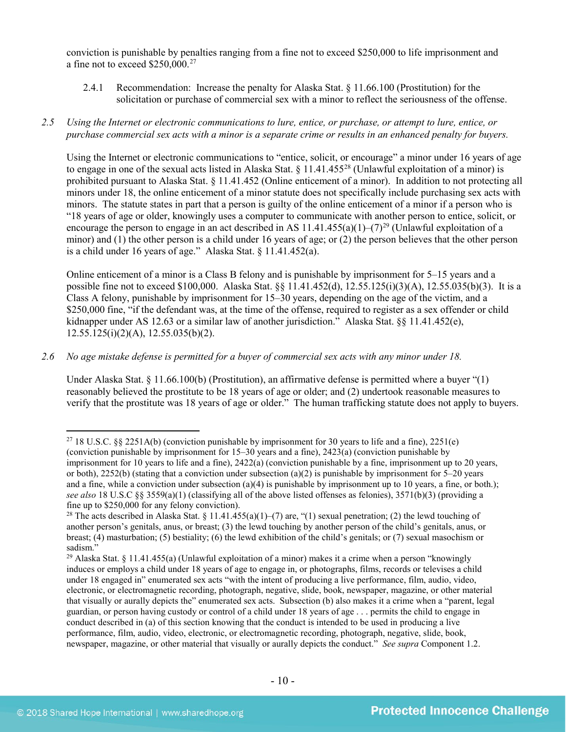conviction is punishable by penalties ranging from a fine not to exceed \$250,000 to life imprisonment and a fine not to exceed \$250,000.[27](#page-9-0)

- 2.4.1 Recommendation: Increase the penalty for Alaska Stat. § 11.66.100 (Prostitution) for the solicitation or purchase of commercial sex with a minor to reflect the seriousness of the offense.
- *2.5 Using the Internet or electronic communications to lure, entice, or purchase, or attempt to lure, entice, or purchase commercial sex acts with a minor is a separate crime or results in an enhanced penalty for buyers.*

Using the Internet or electronic communications to "entice, solicit, or encourage" a minor under 16 years of age to engage in one of the sexual acts listed in Alaska Stat.  $\S 11.41.455^{28}$  $\S 11.41.455^{28}$  $\S 11.41.455^{28}$  (Unlawful exploitation of a minor) is prohibited pursuant to Alaska Stat. § 11.41.452 (Online enticement of a minor). In addition to not protecting all minors under 18, the online enticement of a minor statute does not specifically include purchasing sex acts with minors. The statute states in part that a person is guilty of the online enticement of a minor if a person who is "18 years of age or older, knowingly uses a computer to communicate with another person to entice, solicit, or encourage the person to engage in an act described in AS 11.41.455(a)(1)–(7)<sup>[29](#page-9-2)</sup> (Unlawful exploitation of a minor) and (1) the other person is a child under 16 years of age; or (2) the person believes that the other person is a child under 16 years of age." Alaska Stat. § 11.41.452(a).

Online enticement of a minor is a Class B felony and is punishable by imprisonment for 5–15 years and a possible fine not to exceed \$100,000. Alaska Stat. §§ 11.41.452(d), 12.55.125(i)(3)(A), 12.55.035(b)(3). It is a Class A felony, punishable by imprisonment for 15–30 years, depending on the age of the victim, and a \$250,000 fine, "if the defendant was, at the time of the offense, required to register as a sex offender or child kidnapper under AS 12.63 or a similar law of another jurisdiction.<sup>3</sup> Alaska Stat. §§ 11.41.452(e),  $12.55.125(i)(2)(A), 12.55.035(b)(2).$ 

*2.6 No age mistake defense is permitted for a buyer of commercial sex acts with any minor under 18.*

Under Alaska Stat. § 11.66.100(b) (Prostitution), an affirmative defense is permitted where a buyer "(1) reasonably believed the prostitute to be 18 years of age or older; and (2) undertook reasonable measures to verify that the prostitute was 18 years of age or older." The human trafficking statute does not apply to buyers.

<span id="page-9-0"></span><sup>&</sup>lt;sup>27</sup> 18 U.S.C. §§ 2251A(b) (conviction punishable by imprisonment for 30 years to life and a fine), 2251(e) (conviction punishable by imprisonment for 15–30 years and a fine), 2423(a) (conviction punishable by imprisonment for 10 years to life and a fine), 2422(a) (conviction punishable by a fine, imprisonment up to 20 years, or both),  $2252(b)$  (stating that a conviction under subsection (a)(2) is punishable by imprisonment for 5–20 years and a fine, while a conviction under subsection (a)(4) is punishable by imprisonment up to 10 years, a fine, or both.); *see also* 18 U.S.C §§ 3559(a)(1) (classifying all of the above listed offenses as felonies), 3571(b)(3) (providing a fine up to \$250,000 for any felony conviction).

<span id="page-9-1"></span><sup>&</sup>lt;sup>28</sup> The acts described in Alaska Stat. § 11.41.455(a)(1)–(7) are, "(1) sexual penetration; (2) the lewd touching of another person's genitals, anus, or breast; (3) the lewd touching by another person of the child's genitals, anus, or breast; (4) masturbation; (5) bestiality; (6) the lewd exhibition of the child's genitals; or (7) sexual masochism or sadism."

<span id="page-9-2"></span><sup>29</sup> Alaska Stat. § 11.41.455(a) (Unlawful exploitation of a minor) makes it a crime when a person "knowingly induces or employs a child under 18 years of age to engage in, or photographs, films, records or televises a child under 18 engaged in" enumerated sex acts "with the intent of producing a live performance, film, audio, video, electronic, or electromagnetic recording, photograph, negative, slide, book, newspaper, magazine, or other material that visually or aurally depicts the" enumerated sex acts. Subsection (b) also makes it a crime when a "parent, legal guardian, or person having custody or control of a child under 18 years of age . . . permits the child to engage in conduct described in (a) of this section knowing that the conduct is intended to be used in producing a live performance, film, audio, video, electronic, or electromagnetic recording, photograph, negative, slide, book, newspaper, magazine, or other material that visually or aurally depicts the conduct." *See supra* Component 1.2.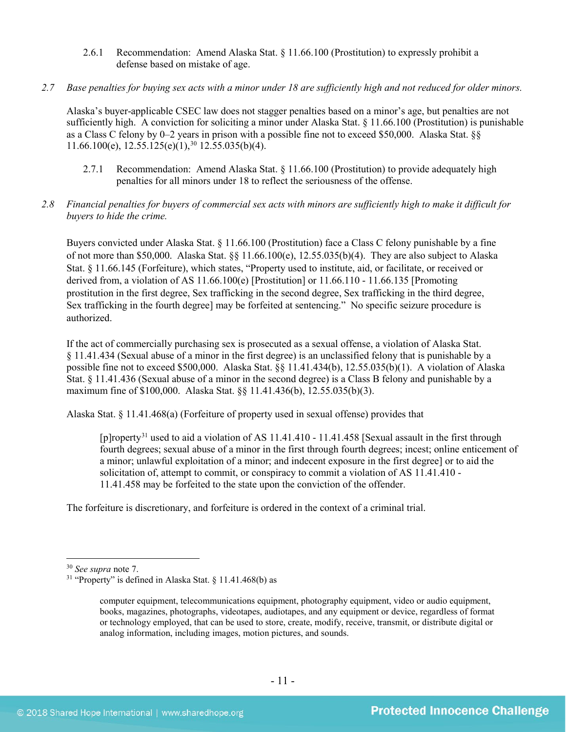- 2.6.1 Recommendation: Amend Alaska Stat. § 11.66.100 (Prostitution) to expressly prohibit a defense based on mistake of age.
- *2.7 Base penalties for buying sex acts with a minor under 18 are sufficiently high and not reduced for older minors.*

Alaska's buyer-applicable CSEC law does not stagger penalties based on a minor's age, but penalties are not sufficiently high. A conviction for soliciting a minor under Alaska Stat. § 11.66.100 (Prostitution) is punishable as a Class C felony by 0–2 years in prison with a possible fine not to exceed \$50,000. Alaska Stat. §§  $11.66.100(e)$ ,  $12.55.125(e)(1)$ ,  $30.12.55.035(b)(4)$  $30.12.55.035(b)(4)$ .

- 2.7.1 Recommendation: Amend Alaska Stat. § 11.66.100 (Prostitution) to provide adequately high penalties for all minors under 18 to reflect the seriousness of the offense.
- *2.8 Financial penalties for buyers of commercial sex acts with minors are sufficiently high to make it difficult for buyers to hide the crime.*

Buyers convicted under Alaska Stat. § 11.66.100 (Prostitution) face a Class C felony punishable by a fine of not more than \$50,000. Alaska Stat. §§ 11.66.100(e), 12.55.035(b)(4). They are also subject to Alaska Stat. § 11.66.145 (Forfeiture), which states, "Property used to institute, aid, or facilitate, or received or derived from, a violation of AS 11.66.100(e) [Prostitution] or 11.66.110 - 11.66.135 [Promoting prostitution in the first degree, Sex trafficking in the second degree, Sex trafficking in the third degree, Sex trafficking in the fourth degree] may be forfeited at sentencing." No specific seizure procedure is authorized.

If the act of commercially purchasing sex is prosecuted as a sexual offense, a violation of Alaska Stat. § 11.41.434 (Sexual abuse of a minor in the first degree) is an unclassified felony that is punishable by a possible fine not to exceed \$500,000. Alaska Stat. §§ 11.41.434(b), 12.55.035(b)(1). A violation of Alaska Stat. § 11.41.436 (Sexual abuse of a minor in the second degree) is a Class B felony and punishable by a maximum fine of \$100,000. Alaska Stat. §§ 11.41.436(b), 12.55.035(b)(3).

Alaska Stat. § 11.41.468(a) (Forfeiture of property used in sexual offense) provides that

<span id="page-10-2"></span>[p]roperty<sup>[31](#page-10-1)</sup> used to aid a violation of AS 11.41.410 - 11.41.458 [Sexual assault in the first through fourth degrees; sexual abuse of a minor in the first through fourth degrees; incest; online enticement of a minor; unlawful exploitation of a minor; and indecent exposure in the first degree] or to aid the solicitation of, attempt to commit, or conspiracy to commit a violation of AS 11.41.410 - 11.41.458 may be forfeited to the state upon the conviction of the offender.

The forfeiture is discretionary, and forfeiture is ordered in the context of a criminal trial.

<span id="page-10-0"></span> <sup>30</sup> *See supra* note [7.](#page-2-6)

<span id="page-10-1"></span><sup>&</sup>lt;sup>31</sup> "Property" is defined in Alaska Stat. § 11.41.468(b) as

computer equipment, telecommunications equipment, photography equipment, video or audio equipment, books, magazines, photographs, videotapes, audiotapes, and any equipment or device, regardless of format or technology employed, that can be used to store, create, modify, receive, transmit, or distribute digital or analog information, including images, motion pictures, and sounds.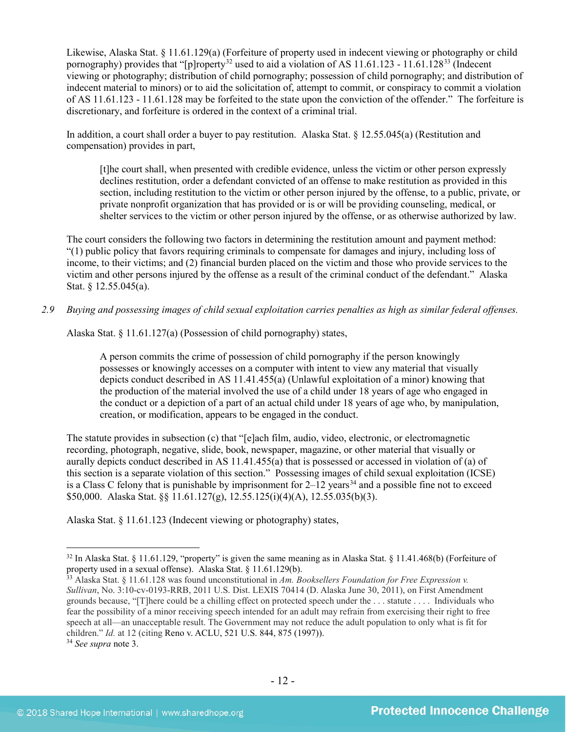<span id="page-11-3"></span>Likewise, Alaska Stat. § 11.61.129(a) (Forfeiture of property used in indecent viewing or photography or child pornography) provides that "[p]roperty<sup>[32](#page-11-0)</sup> used to aid a violation of AS 11.61.123 - 11.61.128<sup>33</sup> (Indecent viewing or photography; distribution of child pornography; possession of child pornography; and distribution of indecent material to minors) or to aid the solicitation of, attempt to commit, or conspiracy to commit a violation of AS 11.61.123 - 11.61.128 may be forfeited to the state upon the conviction of the offender." The forfeiture is discretionary, and forfeiture is ordered in the context of a criminal trial.

In addition, a court shall order a buyer to pay restitution. Alaska Stat. § 12.55.045(a) (Restitution and compensation) provides in part,

[t]he court shall, when presented with credible evidence, unless the victim or other person expressly declines restitution, order a defendant convicted of an offense to make restitution as provided in this section, including restitution to the victim or other person injured by the offense, to a public, private, or private nonprofit organization that has provided or is or will be providing counseling, medical, or shelter services to the victim or other person injured by the offense, or as otherwise authorized by law.

The court considers the following two factors in determining the restitution amount and payment method: "(1) public policy that favors requiring criminals to compensate for damages and injury, including loss of income, to their victims; and (2) financial burden placed on the victim and those who provide services to the victim and other persons injured by the offense as a result of the criminal conduct of the defendant." Alaska Stat. § 12.55.045(a).

*2.9 Buying and possessing images of child sexual exploitation carries penalties as high as similar federal offenses.*

Alaska Stat. § 11.61.127(a) (Possession of child pornography) states,

A person commits the crime of possession of child pornography if the person knowingly possesses or knowingly accesses on a computer with intent to view any material that visually depicts conduct described in AS 11.41.455(a) (Unlawful exploitation of a minor) knowing that the production of the material involved the use of a child under 18 years of age who engaged in the conduct or a depiction of a part of an actual child under 18 years of age who, by manipulation, creation, or modification, appears to be engaged in the conduct.

The statute provides in subsection (c) that "[e]ach film, audio, video, electronic, or electromagnetic recording, photograph, negative, slide, book, newspaper, magazine, or other material that visually or aurally depicts conduct described in AS 11.41.455(a) that is possessed or accessed in violation of (a) of this section is a separate violation of this section." Possessing images of child sexual exploitation (ICSE) is a Class C felony that is punishable by imprisonment for  $2-12$  years<sup>[34](#page-11-2)</sup> and a possible fine not to exceed \$50,000. Alaska Stat. §§ 11.61.127(g), 12.55.125(i)(4)(A), 12.55.035(b)(3).

Alaska Stat. § 11.61.123 (Indecent viewing or photography) states,

<span id="page-11-0"></span><sup>&</sup>lt;sup>32</sup> In Alaska Stat. § 11.61.129, "property" is given the same meaning as in Alaska Stat. § 11.41.468(b) (Forfeiture of property used in a sexual offense). Alaska Stat. § 11.61.129(b).

<span id="page-11-1"></span><sup>33</sup> Alaska Stat. § 11.61.128 was found unconstitutional in *Am. Booksellers Foundation for Free Expression v. Sullivan*, No. 3:10-cv-0193-RRB, 2011 U.S. Dist. LEXIS 70414 (D. Alaska June 30, 2011), on First Amendment grounds because, "[T]here could be a chilling effect on protected speech under the . . . statute . . . . Individuals who fear the possibility of a minor receiving speech intended for an adult may refrain from exercising their right to free speech at all—an unacceptable result. The Government may not reduce the adult population to only what is fit for children." *Id.* at 12 (citing Reno v. ACLU, 521 U.S. 844, 875 (1997)). 34 *See supra* note [3.](#page-1-4)

<span id="page-11-2"></span>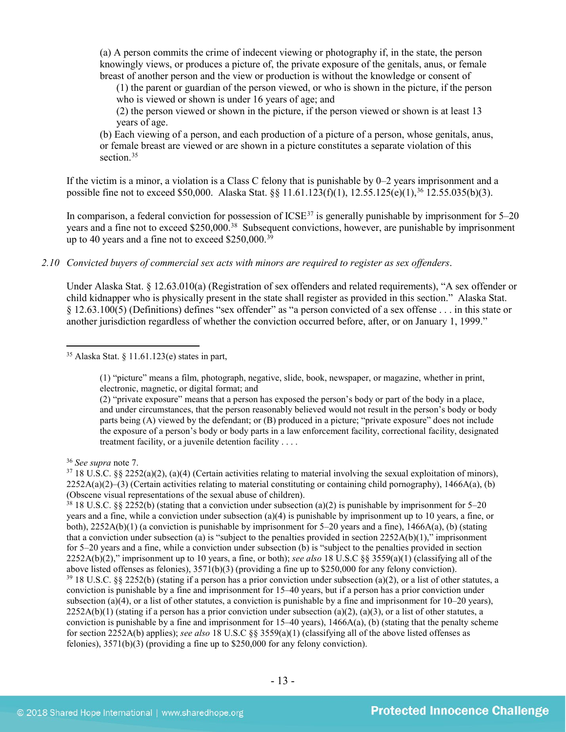(a) A person commits the crime of indecent viewing or photography if, in the state, the person knowingly views, or produces a picture of, the private exposure of the genitals, anus, or female breast of another person and the view or production is without the knowledge or consent of

(1) the parent or guardian of the person viewed, or who is shown in the picture, if the person who is viewed or shown is under 16 years of age; and

(2) the person viewed or shown in the picture, if the person viewed or shown is at least 13 years of age.

<span id="page-12-5"></span>(b) Each viewing of a person, and each production of a picture of a person, whose genitals, anus, or female breast are viewed or are shown in a picture constitutes a separate violation of this section.<sup>35</sup>

If the victim is a minor, a violation is a Class C felony that is punishable by 0–2 years imprisonment and a possible fine not to exceed \$50,000. Alaska Stat. §§ 11.61.123(f)(1), 12.55.125(e)(1),[36](#page-12-1) 12.55.035(b)(3).

In comparison, a federal conviction for possession of ICSE<sup>[37](#page-12-2)</sup> is generally punishable by imprisonment for 5–20 years and a fine not to exceed \$250,000.<sup>38</sup> Subsequent convictions, however, are punishable by imprisonment up to 40 years and a fine not to exceed  $$250,000.<sup>39</sup>$  $$250,000.<sup>39</sup>$  $$250,000.<sup>39</sup>$ 

*2.10 Convicted buyers of commercial sex acts with minors are required to register as sex offenders*.

Under Alaska Stat. § 12.63.010(a) (Registration of sex offenders and related requirements), "A sex offender or child kidnapper who is physically present in the state shall register as provided in this section." Alaska Stat. § 12.63.100(5) (Definitions) defines "sex offender" as "a person convicted of a sex offense . . . in this state or another jurisdiction regardless of whether the conviction occurred before, after, or on January 1, 1999."

(1) "picture" means a film, photograph, negative, slide, book, newspaper, or magazine, whether in print, electronic, magnetic, or digital format; and

(2) "private exposure" means that a person has exposed the person's body or part of the body in a place, and under circumstances, that the person reasonably believed would not result in the person's body or body parts being (A) viewed by the defendant; or (B) produced in a picture; "private exposure" does not include the exposure of a person's body or body parts in a law enforcement facility, correctional facility, designated treatment facility, or a juvenile detention facility . . . .

<span id="page-12-4"></span><span id="page-12-3"></span><sup>38</sup> 18 U.S.C. §§ 2252(b) (stating that a conviction under subsection (a)(2) is punishable by imprisonment for 5–20 years and a fine, while a conviction under subsection (a)(4) is punishable by imprisonment up to 10 years, a fine, or both),  $2252A(b)(1)$  (a conviction is punishable by imprisonment for 5–20 years and a fine),  $1466A(a)$ , (b) (stating that a conviction under subsection (a) is "subject to the penalties provided in section  $2252A(b)(1)$ ," imprisonment for 5–20 years and a fine, while a conviction under subsection (b) is "subject to the penalties provided in section 2252A(b)(2)," imprisonment up to 10 years, a fine, or both); *see also* 18 U.S.C §§ 3559(a)(1) (classifying all of the above listed offenses as felonies), 3571(b)(3) (providing a fine up to \$250,000 for any felony conviction).  $39$  18 U.S.C. §§ 2252(b) (stating if a person has a prior conviction under subsection (a)(2), or a list of other statutes, a conviction is punishable by a fine and imprisonment for 15–40 years, but if a person has a prior conviction under subsection (a)(4), or a list of other statutes, a conviction is punishable by a fine and imprisonment for  $10-20$  years),  $2252A(b)(1)$  (stating if a person has a prior conviction under subsection (a)(2), (a)(3), or a list of other statutes, a conviction is punishable by a fine and imprisonment for  $15-40$  years),  $1466A(a)$ , (b) (stating that the penalty scheme for section 2252A(b) applies); *see also* 18 U.S.C §§ 3559(a)(1) (classifying all of the above listed offenses as felonies), 3571(b)(3) (providing a fine up to \$250,000 for any felony conviction).

<span id="page-12-0"></span> $35$  Alaska Stat. § 11.61.123(e) states in part,

<span id="page-12-1"></span><sup>36</sup> *See supra* note [7.](#page-2-6)

<span id="page-12-2"></span> $37\,18\,$  U.S.C. §§ 2252(a)(2), (a)(4) (Certain activities relating to material involving the sexual exploitation of minors),  $2252A(a)(2)$ –(3) (Certain activities relating to material constituting or containing child pornography), 1466A(a), (b) (Obscene visual representations of the sexual abuse of children).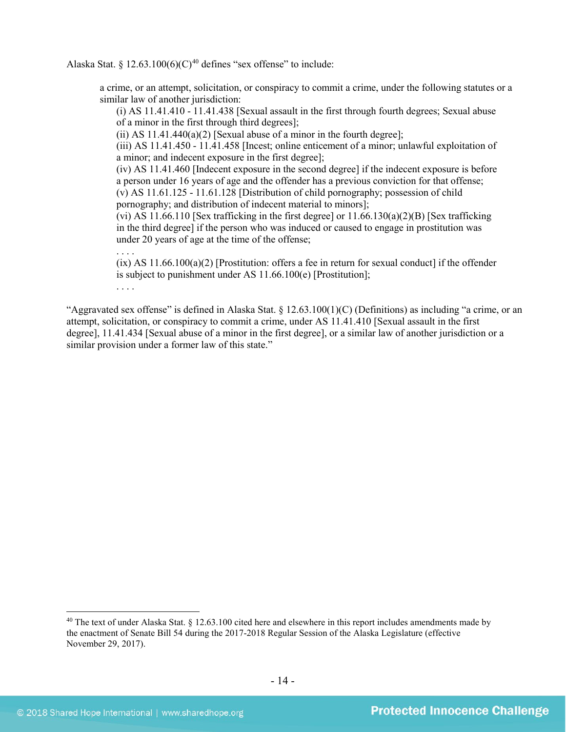Alaska Stat. §  $12.63.100(6)(C)^{40}$  $12.63.100(6)(C)^{40}$  $12.63.100(6)(C)^{40}$  defines "sex offense" to include:

a crime, or an attempt, solicitation, or conspiracy to commit a crime, under the following statutes or a similar law of another jurisdiction:

<span id="page-13-1"></span>(i) AS 11.41.410 - 11.41.438 [Sexual assault in the first through fourth degrees; Sexual abuse of a minor in the first through third degrees];

(ii) AS  $11.41.440(a)(2)$  [Sexual abuse of a minor in the fourth degree];

(iii) AS 11.41.450 - 11.41.458 [Incest; online enticement of a minor; unlawful exploitation of a minor; and indecent exposure in the first degree];

(iv) AS 11.41.460 [Indecent exposure in the second degree] if the indecent exposure is before a person under 16 years of age and the offender has a previous conviction for that offense; (v) AS 11.61.125 - 11.61.128 [Distribution of child pornography; possession of child pornography; and distribution of indecent material to minors];

(vi) AS 11.66.110 [Sex trafficking in the first degree] or  $11.66.130(a)(2)(B)$  [Sex trafficking in the third degree] if the person who was induced or caused to engage in prostitution was under 20 years of age at the time of the offense;

. . . . (ix) AS 11.66.100(a)(2) [Prostitution: offers a fee in return for sexual conduct] if the offender is subject to punishment under AS 11.66.100(e) [Prostitution]; . . . .

"Aggravated sex offense" is defined in Alaska Stat.  $\S$  12.63.100(1)(C) (Definitions) as including "a crime, or an attempt, solicitation, or conspiracy to commit a crime, under AS 11.41.410 [Sexual assault in the first degree], 11.41.434 [Sexual abuse of a minor in the first degree], or a similar law of another jurisdiction or a similar provision under a former law of this state."

<span id="page-13-0"></span><sup>&</sup>lt;sup>40</sup> The text of under Alaska Stat.  $\S$  12.63.100 cited here and elsewhere in this report includes amendments made by the enactment of Senate Bill 54 during the 2017-2018 Regular Session of the Alaska Legislature (effective November 29, 2017).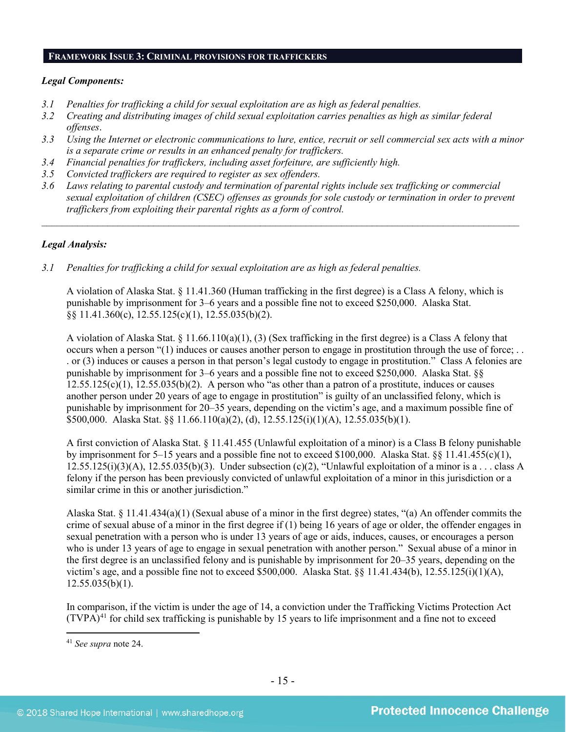#### **FRAMEWORK ISSUE 3: CRIMINAL PROVISIONS FOR TRAFFICKERS**

# *Legal Components:*

- *3.1 Penalties for trafficking a child for sexual exploitation are as high as federal penalties.*
- *3.2 Creating and distributing images of child sexual exploitation carries penalties as high as similar federal offenses*.
- *3.3 Using the Internet or electronic communications to lure, entice, recruit or sell commercial sex acts with a minor is a separate crime or results in an enhanced penalty for traffickers.*
- *3.4 Financial penalties for traffickers, including asset forfeiture, are sufficiently high.*
- *3.5 Convicted traffickers are required to register as sex offenders.*
- *3.6 Laws relating to parental custody and termination of parental rights include sex trafficking or commercial sexual exploitation of children (CSEC) offenses as grounds for sole custody or termination in order to prevent traffickers from exploiting their parental rights as a form of control.*

*\_\_\_\_\_\_\_\_\_\_\_\_\_\_\_\_\_\_\_\_\_\_\_\_\_\_\_\_\_\_\_\_\_\_\_\_\_\_\_\_\_\_\_\_\_\_\_\_\_\_\_\_\_\_\_\_\_\_\_\_\_\_\_\_\_\_\_\_\_\_\_\_\_\_\_\_\_\_\_\_\_\_\_\_\_\_\_\_\_\_\_\_\_\_*

# *Legal Analysis:*

*3.1 Penalties for trafficking a child for sexual exploitation are as high as federal penalties.* 

A violation of Alaska Stat. § 11.41.360 (Human trafficking in the first degree) is a Class A felony, which is punishable by imprisonment for 3–6 years and a possible fine not to exceed \$250,000. Alaska Stat. §§ 11.41.360(c), 12.55.125(c)(1), 12.55.035(b)(2).

A violation of Alaska Stat. § 11.66.110(a)(1), (3) (Sex trafficking in the first degree) is a Class A felony that occurs when a person "(1) induces or causes another person to engage in prostitution through the use of force; . . . or (3) induces or causes a person in that person's legal custody to engage in prostitution." Class A felonies are punishable by imprisonment for 3–6 years and a possible fine not to exceed \$250,000. Alaska Stat. §§  $12.55.125(c)(1)$ ,  $12.55.035(b)(2)$ . A person who "as other than a patron of a prostitute, induces or causes another person under 20 years of age to engage in prostitution" is guilty of an unclassified felony, which is punishable by imprisonment for 20–35 years, depending on the victim's age, and a maximum possible fine of \$500,000. Alaska Stat. §§ 11.66.110(a)(2), (d), 12.55.125(i)(1)(A), 12.55.035(b)(1).

A first conviction of Alaska Stat. § 11.41.455 (Unlawful exploitation of a minor) is a Class B felony punishable by imprisonment for 5–15 years and a possible fine not to exceed \$100,000. Alaska Stat. §§ 11.41.455(c)(1),  $12.55.125(i)(3)(A)$ ,  $12.55.035(b)(3)$ . Under subsection  $(c)(2)$ , "Unlawful exploitation of a minor is a . . . class A felony if the person has been previously convicted of unlawful exploitation of a minor in this jurisdiction or a similar crime in this or another jurisdiction."

Alaska Stat. § 11.41.434(a)(1) (Sexual abuse of a minor in the first degree) states, "(a) An offender commits the crime of sexual abuse of a minor in the first degree if  $(1)$  being 16 years of age or older, the offender engages in sexual penetration with a person who is under 13 years of age or aids, induces, causes, or encourages a person who is under 13 years of age to engage in sexual penetration with another person." Sexual abuse of a minor in the first degree is an unclassified felony and is punishable by imprisonment for 20–35 years, depending on the victim's age, and a possible fine not to exceed \$500,000. Alaska Stat.  $\$ \ 11.41.434(b), 12.55.125(i)(1)(A),  $12.55.035(b)(1)$ .

In comparison, if the victim is under the age of 14, a conviction under the Trafficking Victims Protection Act  $(TVPA)^{41}$  $(TVPA)^{41}$  $(TVPA)^{41}$  for child sex trafficking is punishable by 15 years to life imprisonment and a fine not to exceed

<span id="page-14-0"></span> <sup>41</sup> *See supra* note [24.](#page-8-6)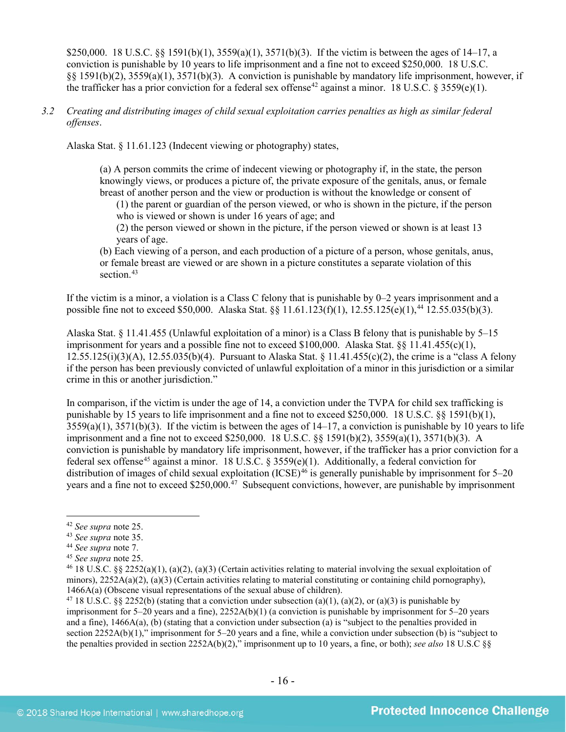\$250,000. 18 U.S.C. §§ 1591(b)(1), 3559(a)(1), 3571(b)(3). If the victim is between the ages of 14–17, a conviction is punishable by 10 years to life imprisonment and a fine not to exceed \$250,000. 18 U.S.C. §§ 1591(b)(2), 3559(a)(1), 3571(b)(3). A conviction is punishable by mandatory life imprisonment, however, if the trafficker has a prior conviction for a federal sex offense<sup>[42](#page-15-0)</sup> against a minor. 18 U.S.C. § 3559(e)(1).

### *3.2 Creating and distributing images of child sexual exploitation carries penalties as high as similar federal offenses*.

Alaska Stat. § 11.61.123 (Indecent viewing or photography) states,

(a) A person commits the crime of indecent viewing or photography if, in the state, the person knowingly views, or produces a picture of, the private exposure of the genitals, anus, or female breast of another person and the view or production is without the knowledge or consent of

(1) the parent or guardian of the person viewed, or who is shown in the picture, if the person who is viewed or shown is under 16 years of age; and

(2) the person viewed or shown in the picture, if the person viewed or shown is at least 13 years of age.

(b) Each viewing of a person, and each production of a picture of a person, whose genitals, anus, or female breast are viewed or are shown in a picture constitutes a separate violation of this section.<sup>43</sup>

If the victim is a minor, a violation is a Class C felony that is punishable by 0–2 years imprisonment and a possible fine not to exceed \$50,000. Alaska Stat. §§ 11.61.123(f)(1), 12.55.125(e)(1),<sup>[44](#page-15-2)</sup> 12.55.035(b)(3).

Alaska Stat. § 11.41.455 (Unlawful exploitation of a minor) is a Class B felony that is punishable by 5–15 imprisonment for years and a possible fine not to exceed \$100,000. Alaska Stat.  $\S$  11.41.455(c)(1), 12.55.125(i)(3)(A), 12.55.035(b)(4). Pursuant to Alaska Stat. § 11.41.455(c)(2), the crime is a "class A felony if the person has been previously convicted of unlawful exploitation of a minor in this jurisdiction or a similar crime in this or another jurisdiction."

In comparison, if the victim is under the age of 14, a conviction under the TVPA for child sex trafficking is punishable by 15 years to life imprisonment and a fine not to exceed \$250,000. 18 U.S.C. §§ 1591(b)(1),  $3559(a)(1)$ ,  $3571(b)(3)$ . If the victim is between the ages of  $14-17$ , a conviction is punishable by 10 years to life imprisonment and a fine not to exceed \$250,000. 18 U.S.C. §§ 1591(b)(2), 3559(a)(1), 3571(b)(3). A conviction is punishable by mandatory life imprisonment, however, if the trafficker has a prior conviction for a federal sex offense[45](#page-15-3) against a minor. 18 U.S.C. § 3559(e)(1). Additionally, a federal conviction for distribution of images of child sexual exploitation (ICSE)<sup>[46](#page-15-4)</sup> is generally punishable by imprisonment for 5–20 years and a fine not to exceed \$250,000.<sup>47</sup> Subsequent convictions, however, are punishable by imprisonment

<span id="page-15-0"></span> <sup>42</sup> *See supra* note [25.](#page-8-7)

<span id="page-15-1"></span><sup>43</sup> *See supra* note [35.](#page-12-5)

<span id="page-15-2"></span><sup>44</sup> *See supra* note [7.](#page-2-6)

<span id="page-15-3"></span><sup>45</sup> *See supra* note [25.](#page-8-7)

<span id="page-15-4"></span><sup>&</sup>lt;sup>46</sup> 18 U.S.C. §§ 2252(a)(1), (a)(2), (a)(3) (Certain activities relating to material involving the sexual exploitation of minors),  $2252A(a)(2)$ ,  $(a)(3)$  (Certain activities relating to material constituting or containing child pornography), 1466A(a) (Obscene visual representations of the sexual abuse of children).

<span id="page-15-5"></span><sup>&</sup>lt;sup>47</sup> 18 U.S.C. §§ 2252(b) (stating that a conviction under subsection (a)(1), (a)(2), or (a)(3) is punishable by imprisonment for 5–20 years and a fine), 2252A(b)(1) (a conviction is punishable by imprisonment for 5–20 years and a fine), 1466A(a), (b) (stating that a conviction under subsection (a) is "subject to the penalties provided in section 2252A(b)(1)," imprisonment for 5–20 years and a fine, while a conviction under subsection (b) is "subject to the penalties provided in section 2252A(b)(2)," imprisonment up to 10 years, a fine, or both); *see also* 18 U.S.C §§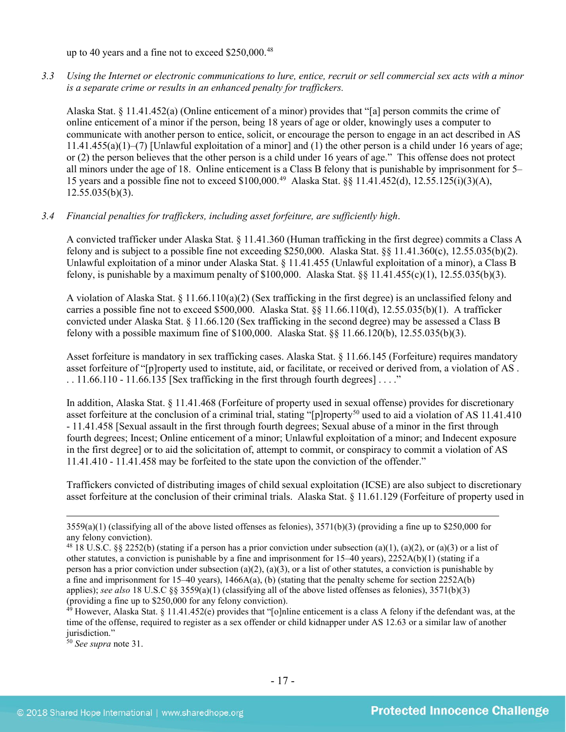up to 40 years and a fine not to exceed \$250,000.<sup>[48](#page-16-0)</sup>

*3.3 Using the Internet or electronic communications to lure, entice, recruit or sell commercial sex acts with a minor is a separate crime or results in an enhanced penalty for traffickers.*

Alaska Stat. § 11.41.452(a) (Online enticement of a minor) provides that "[a] person commits the crime of online enticement of a minor if the person, being 18 years of age or older, knowingly uses a computer to communicate with another person to entice, solicit, or encourage the person to engage in an act described in AS 11.41.455(a)(1)–(7) [Unlawful exploitation of a minor] and (1) the other person is a child under 16 years of age; or (2) the person believes that the other person is a child under 16 years of age." This offense does not protect all minors under the age of 18. Online enticement is a Class B felony that is punishable by imprisonment for 5– 15 years and a possible fine not to exceed \$100,000.[49](#page-16-1) Alaska Stat. §§ 11.41.452(d), 12.55.125(i)(3)(A), 12.55.035(b)(3).

#### *3.4 Financial penalties for traffickers, including asset forfeiture, are sufficiently high*.

A convicted trafficker under Alaska Stat. § 11.41.360 (Human trafficking in the first degree) commits a Class A felony and is subject to a possible fine not exceeding \$250,000. Alaska Stat.  $\S$ § 11.41.360(c), 12.55.035(b)(2). Unlawful exploitation of a minor under Alaska Stat. § 11.41.455 (Unlawful exploitation of a minor), a Class B felony, is punishable by a maximum penalty of \$100,000. Alaska Stat.  $\S$  11.41.455(c)(1), 12.55.035(b)(3).

A violation of Alaska Stat.  $\S 11.66.110(a)(2)$  (Sex trafficking in the first degree) is an unclassified felony and carries a possible fine not to exceed \$500,000. Alaska Stat. §§ 11.66.110(d), 12.55.035(b)(1). A trafficker convicted under Alaska Stat. § 11.66.120 (Sex trafficking in the second degree) may be assessed a Class B felony with a possible maximum fine of \$100,000. Alaska Stat. §§ 11.66.120(b), 12.55.035(b)(3).

Asset forfeiture is mandatory in sex trafficking cases. Alaska Stat. § 11.66.145 (Forfeiture) requires mandatory asset forfeiture of "[p]roperty used to institute, aid, or facilitate, or received or derived from, a violation of AS .  $\ldots$  11.66.110 - 11.66.135 [Sex trafficking in the first through fourth degrees]  $\ldots$ ."

In addition, Alaska Stat. § 11.41.468 (Forfeiture of property used in sexual offense) provides for discretionary asset forfeiture at the conclusion of a criminal trial, stating "[p]roperty<sup>[50](#page-16-2)</sup> used to aid a violation of AS  $11.41.410$ - 11.41.458 [Sexual assault in the first through fourth degrees; Sexual abuse of a minor in the first through fourth degrees; Incest; Online enticement of a minor; Unlawful exploitation of a minor; and Indecent exposure in the first degree] or to aid the solicitation of, attempt to commit, or conspiracy to commit a violation of AS 11.41.410 - 11.41.458 may be forfeited to the state upon the conviction of the offender."

Traffickers convicted of distributing images of child sexual exploitation (ICSE) are also subject to discretionary asset forfeiture at the conclusion of their criminal trials. Alaska Stat. § 11.61.129 (Forfeiture of property used in

<span id="page-16-2"></span><sup>50</sup> *See supra* note [31.](#page-10-2)

 $3559(a)(1)$  (classifying all of the above listed offenses as felonies),  $3571(b)(3)$  (providing a fine up to \$250,000 for any felony conviction).

<span id="page-16-0"></span><sup>&</sup>lt;sup>48</sup> 18 U.S.C. §§ 2252(b) (stating if a person has a prior conviction under subsection (a)(1), (a)(2), or (a)(3) or a list of other statutes, a conviction is punishable by a fine and imprisonment for  $15-40$  years),  $2252A(b)(1)$  (stating if a person has a prior conviction under subsection (a)(2), (a)(3), or a list of other statutes, a conviction is punishable by a fine and imprisonment for 15–40 years), 1466A(a), (b) (stating that the penalty scheme for section 2252A(b) applies); *see also* 18 U.S.C §§ 3559(a)(1) (classifying all of the above listed offenses as felonies), 3571(b)(3) (providing a fine up to \$250,000 for any felony conviction).

<span id="page-16-1"></span> $49$  However, Alaska Stat. § 11.41.452(e) provides that "[o]nline enticement is a class A felony if the defendant was, at the time of the offense, required to register as a sex offender or child kidnapper under AS 12.63 or a similar law of another jurisdiction."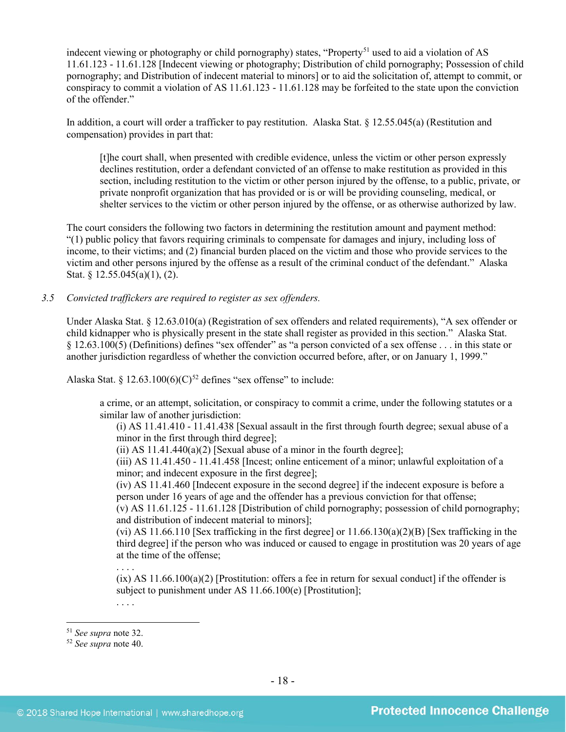indecent viewing or photography or child pornography) states, "Property<sup>[51](#page-17-0)</sup> used to aid a violation of AS 11.61.123 - 11.61.128 [Indecent viewing or photography; Distribution of child pornography; Possession of child pornography; and Distribution of indecent material to minors] or to aid the solicitation of, attempt to commit, or conspiracy to commit a violation of AS 11.61.123 - 11.61.128 may be forfeited to the state upon the conviction of the offender."

In addition, a court will order a trafficker to pay restitution. Alaska Stat. § 12.55.045(a) (Restitution and compensation) provides in part that:

[t]he court shall, when presented with credible evidence, unless the victim or other person expressly declines restitution, order a defendant convicted of an offense to make restitution as provided in this section, including restitution to the victim or other person injured by the offense, to a public, private, or private nonprofit organization that has provided or is or will be providing counseling, medical, or shelter services to the victim or other person injured by the offense, or as otherwise authorized by law.

The court considers the following two factors in determining the restitution amount and payment method: "(1) public policy that favors requiring criminals to compensate for damages and injury, including loss of income, to their victims; and (2) financial burden placed on the victim and those who provide services to the victim and other persons injured by the offense as a result of the criminal conduct of the defendant." Alaska Stat. § 12.55.045(a)(1), (2).

#### *3.5 Convicted traffickers are required to register as sex offenders.*

Under Alaska Stat. § 12.63.010(a) (Registration of sex offenders and related requirements), "A sex offender or child kidnapper who is physically present in the state shall register as provided in this section." Alaska Stat. § 12.63.100(5) (Definitions) defines "sex offender" as "a person convicted of a sex offense . . . in this state or another jurisdiction regardless of whether the conviction occurred before, after, or on January 1, 1999."

Alaska Stat. § 12.63.100(6)(C)<sup>[52](#page-17-1)</sup> defines "sex offense" to include:

a crime, or an attempt, solicitation, or conspiracy to commit a crime, under the following statutes or a similar law of another jurisdiction:

(i) AS 11.41.410 - 11.41.438 [Sexual assault in the first through fourth degree; sexual abuse of a minor in the first through third degree];

(ii) AS  $11.41.440(a)(2)$  [Sexual abuse of a minor in the fourth degree];

(iii) AS 11.41.450 - 11.41.458 [Incest; online enticement of a minor; unlawful exploitation of a minor; and indecent exposure in the first degree];

(iv) AS 11.41.460 [Indecent exposure in the second degree] if the indecent exposure is before a person under 16 years of age and the offender has a previous conviction for that offense;

(v) AS 11.61.125 - 11.61.128 [Distribution of child pornography; possession of child pornography; and distribution of indecent material to minors];

(vi) AS 11.66.110 [Sex trafficking in the first degree] or  $11.66.130(a)(2)(B)$  [Sex trafficking in the third degree] if the person who was induced or caused to engage in prostitution was 20 years of age at the time of the offense;

 $(ix)$  AS 11.66.100(a)(2) [Prostitution: offers a fee in return for sexual conduct] if the offender is subject to punishment under AS 11.66.100(e) [Prostitution];

. . . .

. . . .

<span id="page-17-0"></span><sup>51</sup> *See supra* note [32.](#page-11-3) 52 *See supra* note [40.](#page-13-1)

<span id="page-17-1"></span>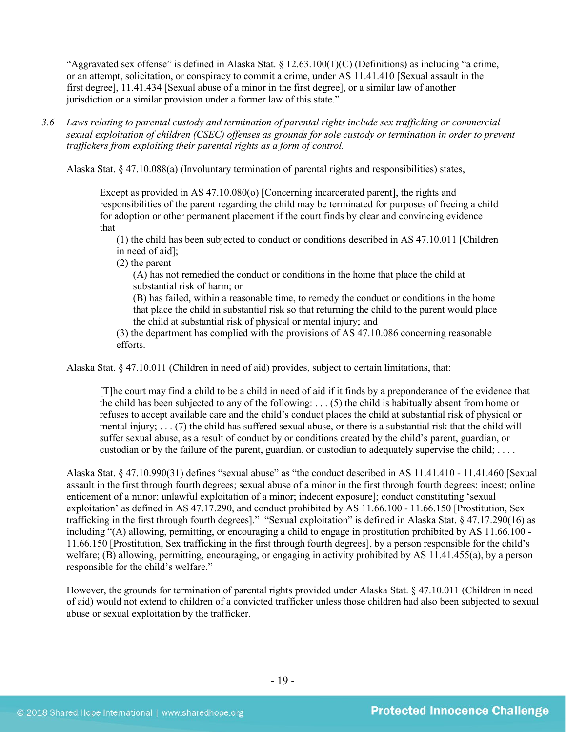"Aggravated sex offense" is defined in Alaska Stat.  $\S 12.63.100(1)(C)$  (Definitions) as including "a crime, or an attempt, solicitation, or conspiracy to commit a crime, under AS 11.41.410 [Sexual assault in the first degree], 11.41.434 [Sexual abuse of a minor in the first degree], or a similar law of another jurisdiction or a similar provision under a former law of this state."

*3.6 Laws relating to parental custody and termination of parental rights include sex trafficking or commercial sexual exploitation of children (CSEC) offenses as grounds for sole custody or termination in order to prevent traffickers from exploiting their parental rights as a form of control.* 

Alaska Stat. § 47.10.088(a) (Involuntary termination of parental rights and responsibilities) states,

Except as provided in AS 47.10.080(o) [Concerning incarcerated parent], the rights and responsibilities of the parent regarding the child may be terminated for purposes of freeing a child for adoption or other permanent placement if the court finds by clear and convincing evidence that

(1) the child has been subjected to conduct or conditions described in AS 47.10.011 [Children in need of aid];

(2) the parent

(A) has not remedied the conduct or conditions in the home that place the child at substantial risk of harm; or

(B) has failed, within a reasonable time, to remedy the conduct or conditions in the home that place the child in substantial risk so that returning the child to the parent would place the child at substantial risk of physical or mental injury; and

(3) the department has complied with the provisions of AS 47.10.086 concerning reasonable efforts.

Alaska Stat. § 47.10.011 (Children in need of aid) provides, subject to certain limitations, that:

[T]he court may find a child to be a child in need of aid if it finds by a preponderance of the evidence that the child has been subjected to any of the following: . . . (5) the child is habitually absent from home or refuses to accept available care and the child's conduct places the child at substantial risk of physical or mental injury; . . . (7) the child has suffered sexual abuse, or there is a substantial risk that the child will suffer sexual abuse, as a result of conduct by or conditions created by the child's parent, guardian, or custodian or by the failure of the parent, guardian, or custodian to adequately supervise the child; . . . .

Alaska Stat. § 47.10.990(31) defines "sexual abuse" as "the conduct described in AS 11.41.410 - 11.41.460 [Sexual assault in the first through fourth degrees; sexual abuse of a minor in the first through fourth degrees; incest; online enticement of a minor; unlawful exploitation of a minor; indecent exposure]; conduct constituting 'sexual exploitation' as defined in AS 47.17.290, and conduct prohibited by AS 11.66.100 - 11.66.150 [Prostitution, Sex trafficking in the first through fourth degrees]." "Sexual exploitation" is defined in Alaska Stat. § 47.17.290(16) as including "(A) allowing, permitting, or encouraging a child to engage in prostitution prohibited by AS 11.66.100 - 11.66.150 [Prostitution, Sex trafficking in the first through fourth degrees], by a person responsible for the child's welfare; (B) allowing, permitting, encouraging, or engaging in activity prohibited by AS 11.41.455(a), by a person responsible for the child's welfare."

However, the grounds for termination of parental rights provided under Alaska Stat. § 47.10.011 (Children in need of aid) would not extend to children of a convicted trafficker unless those children had also been subjected to sexual abuse or sexual exploitation by the trafficker.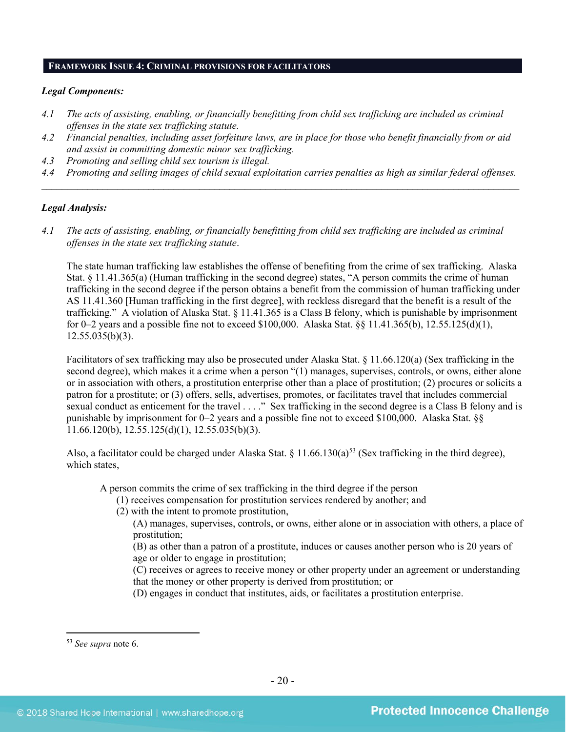# **FRAMEWORK ISSUE 4: CRIMINAL PROVISIONS FOR FACILITATORS**

# *Legal Components:*

- *4.1 The acts of assisting, enabling, or financially benefitting from child sex trafficking are included as criminal offenses in the state sex trafficking statute.*
- *4.2 Financial penalties, including asset forfeiture laws, are in place for those who benefit financially from or aid and assist in committing domestic minor sex trafficking.*
- *4.3 Promoting and selling child sex tourism is illegal.*
- *4.4 Promoting and selling images of child sexual exploitation carries penalties as high as similar federal offenses. \_\_\_\_\_\_\_\_\_\_\_\_\_\_\_\_\_\_\_\_\_\_\_\_\_\_\_\_\_\_\_\_\_\_\_\_\_\_\_\_\_\_\_\_\_\_\_\_\_\_\_\_\_\_\_\_\_\_\_\_\_\_\_\_\_\_\_\_\_\_\_\_\_\_\_\_\_\_\_\_\_\_\_\_\_\_\_\_\_\_\_\_\_\_*

# *Legal Analysis:*

*4.1 The acts of assisting, enabling, or financially benefitting from child sex trafficking are included as criminal offenses in the state sex trafficking statute*.

The state human trafficking law establishes the offense of benefiting from the crime of sex trafficking. Alaska Stat. § 11.41.365(a) (Human trafficking in the second degree) states, "A person commits the crime of human trafficking in the second degree if the person obtains a benefit from the commission of human trafficking under AS 11.41.360 [Human trafficking in the first degree], with reckless disregard that the benefit is a result of the trafficking." A violation of Alaska Stat. § 11.41.365 is a Class B felony, which is punishable by imprisonment for 0–2 years and a possible fine not to exceed \$100,000. Alaska Stat. §§ 11.41.365(b), 12.55.125(d)(1), 12.55.035(b)(3).

Facilitators of sex trafficking may also be prosecuted under Alaska Stat. § 11.66.120(a) (Sex trafficking in the second degree), which makes it a crime when a person "(1) manages, supervises, controls, or owns, either alone or in association with others, a prostitution enterprise other than a place of prostitution; (2) procures or solicits a patron for a prostitute; or (3) offers, sells, advertises, promotes, or facilitates travel that includes commercial sexual conduct as enticement for the travel . . . ." Sex trafficking in the second degree is a Class B felony and is punishable by imprisonment for 0–2 years and a possible fine not to exceed \$100,000. Alaska Stat. §§ 11.66.120(b), 12.55.125(d)(1), 12.55.035(b)(3).

Also, a facilitator could be charged under Alaska Stat. § 11.66.130(a)<sup>[53](#page-19-0)</sup> (Sex trafficking in the third degree), which states

A person commits the crime of sex trafficking in the third degree if the person

- (1) receives compensation for prostitution services rendered by another; and
- (2) with the intent to promote prostitution,
	- (A) manages, supervises, controls, or owns, either alone or in association with others, a place of prostitution;
		- (B) as other than a patron of a prostitute, induces or causes another person who is 20 years of age or older to engage in prostitution;
	- (C) receives or agrees to receive money or other property under an agreement or understanding that the money or other property is derived from prostitution; or
	- (D) engages in conduct that institutes, aids, or facilitates a prostitution enterprise.

<span id="page-19-0"></span> <sup>53</sup> *See supra* note [6.](#page-1-5)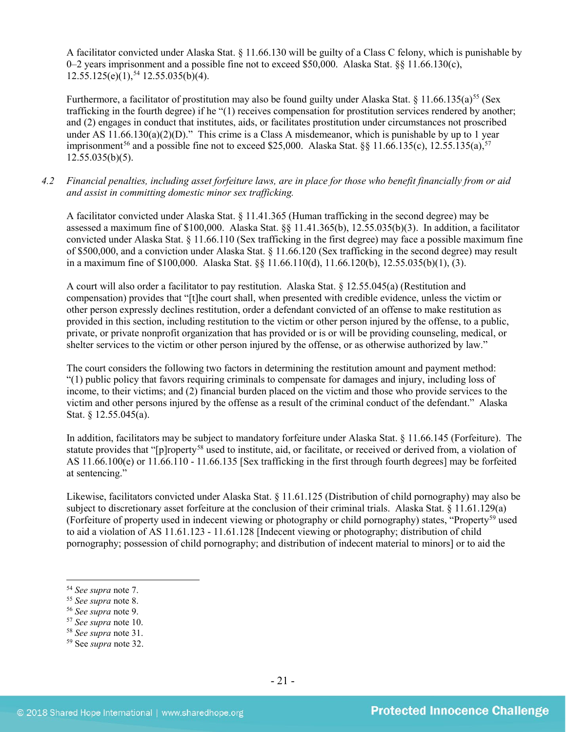A facilitator convicted under Alaska Stat. § 11.66.130 will be guilty of a Class C felony, which is punishable by 0–2 years imprisonment and a possible fine not to exceed \$50,000. Alaska Stat. §§ 11.66.130(c), 12.55.125(e)(1), [54](#page-20-0) 12.55.035(b)(4).

Furthermore, a facilitator of prostitution may also be found guilty under Alaska Stat. § 11.66.135(a)<sup>[55](#page-20-1)</sup> (Sex trafficking in the fourth degree) if he "(1) receives compensation for prostitution services rendered by another; and (2) engages in conduct that institutes, aids, or facilitates prostitution under circumstances not proscribed under AS  $11.66.130(a)(2)(D)$ ." This crime is a Class A misdemeanor, which is punishable by up to 1 year imprisonment<sup>[56](#page-20-2)</sup> and a possible fine not to exceed \$25,000. Alaska Stat. §§ 11.66.135(c), 12.55.135(a),<sup>[57](#page-20-3)</sup>  $12.55.035(b)(5)$ .

*4.2 Financial penalties, including asset forfeiture laws, are in place for those who benefit financially from or aid and assist in committing domestic minor sex trafficking.*

A facilitator convicted under Alaska Stat. § 11.41.365 (Human trafficking in the second degree) may be assessed a maximum fine of \$100,000. Alaska Stat. §§ 11.41.365(b), 12.55.035(b)(3). In addition, a facilitator convicted under Alaska Stat. § 11.66.110 (Sex trafficking in the first degree) may face a possible maximum fine of \$500,000, and a conviction under Alaska Stat. § 11.66.120 (Sex trafficking in the second degree) may result in a maximum fine of \$100,000. Alaska Stat. §§ 11.66.110(d), 11.66.120(b), 12.55.035(b)(1), (3).

A court will also order a facilitator to pay restitution. Alaska Stat. § 12.55.045(a) (Restitution and compensation) provides that "[t]he court shall, when presented with credible evidence, unless the victim or other person expressly declines restitution, order a defendant convicted of an offense to make restitution as provided in this section, including restitution to the victim or other person injured by the offense, to a public, private, or private nonprofit organization that has provided or is or will be providing counseling, medical, or shelter services to the victim or other person injured by the offense, or as otherwise authorized by law."

The court considers the following two factors in determining the restitution amount and payment method: "(1) public policy that favors requiring criminals to compensate for damages and injury, including loss of income, to their victims; and (2) financial burden placed on the victim and those who provide services to the victim and other persons injured by the offense as a result of the criminal conduct of the defendant." Alaska Stat. § 12.55.045(a).

In addition, facilitators may be subject to mandatory forfeiture under Alaska Stat. § 11.66.145 (Forfeiture). The statute provides that "[p]roperty<sup>[58](#page-20-4)</sup> used to institute, aid, or facilitate, or received or derived from, a violation of AS 11.66.100(e) or 11.66.110 - 11.66.135 [Sex trafficking in the first through fourth degrees] may be forfeited at sentencing."

Likewise, facilitators convicted under Alaska Stat. § 11.61.125 (Distribution of child pornography) may also be subject to discretionary asset forfeiture at the conclusion of their criminal trials. Alaska Stat. § 11.61.129(a) (Forfeiture of property used in indecent viewing or photography or child pornography) states, "Property[59](#page-20-5) used to aid a violation of AS 11.61.123 - 11.61.128 [Indecent viewing or photography; distribution of child pornography; possession of child pornography; and distribution of indecent material to minors] or to aid the

- <span id="page-20-2"></span><sup>56</sup> *See supra* note [9.](#page-2-9)
- <span id="page-20-3"></span><sup>57</sup> *See supra* note [10.](#page-2-7)
- <span id="page-20-4"></span><sup>58</sup> *See supra* note [31.](#page-10-2)

<span id="page-20-0"></span> <sup>54</sup> *See supra* note [7.](#page-2-6)

<span id="page-20-1"></span><sup>55</sup> *See supra* note [8.](#page-2-8)

<span id="page-20-5"></span><sup>59</sup> See *supra* note [32.](#page-11-3)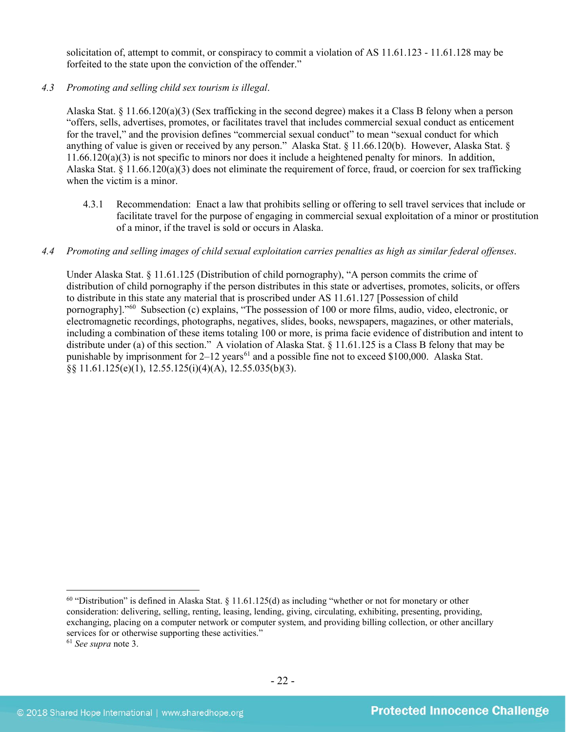solicitation of, attempt to commit, or conspiracy to commit a violation of AS 11.61.123 - 11.61.128 may be forfeited to the state upon the conviction of the offender."

# *4.3 Promoting and selling child sex tourism is illegal*.

Alaska Stat. § 11.66.120(a)(3) (Sex trafficking in the second degree) makes it a Class B felony when a person "offers, sells, advertises, promotes, or facilitates travel that includes commercial sexual conduct as enticement for the travel," and the provision defines "commercial sexual conduct" to mean "sexual conduct for which anything of value is given or received by any person." Alaska Stat. § 11.66.120(b). However, Alaska Stat. § 11.66.120(a)(3) is not specific to minors nor does it include a heightened penalty for minors. In addition, Alaska Stat. § 11.66.120(a)(3) does not eliminate the requirement of force, fraud, or coercion for sex trafficking when the victim is a minor.

4.3.1 Recommendation: Enact a law that prohibits selling or offering to sell travel services that include or facilitate travel for the purpose of engaging in commercial sexual exploitation of a minor or prostitution of a minor, if the travel is sold or occurs in Alaska.

#### *4.4 Promoting and selling images of child sexual exploitation carries penalties as high as similar federal offenses*.

Under Alaska Stat. § 11.61.125 (Distribution of child pornography), "A person commits the crime of distribution of child pornography if the person distributes in this state or advertises, promotes, solicits, or offers to distribute in this state any material that is proscribed under AS 11.61.127 [Possession of child pornography]."[60](#page-21-0) Subsection (c) explains, "The possession of 100 or more films, audio, video, electronic, or electromagnetic recordings, photographs, negatives, slides, books, newspapers, magazines, or other materials, including a combination of these items totaling 100 or more, is prima facie evidence of distribution and intent to distribute under (a) of this section." A violation of Alaska Stat. § 11.61.125 is a Class B felony that may be punishable by imprisonment for  $2-12$  years<sup>[61](#page-21-1)</sup> and a possible fine not to exceed \$100,000. Alaska Stat.  $\S$ § 11.61.125(e)(1), 12.55.125(i)(4)(A), 12.55.035(b)(3).

<span id="page-21-0"></span> $^{60}$  "Distribution" is defined in Alaska Stat. § 11.61.125(d) as including "whether or not for monetary or other consideration: delivering, selling, renting, leasing, lending, giving, circulating, exhibiting, presenting, providing, exchanging, placing on a computer network or computer system, and providing billing collection, or other ancillary services for or otherwise supporting these activities."

<span id="page-21-1"></span><sup>61</sup> *See supra* note [3.](#page-1-4)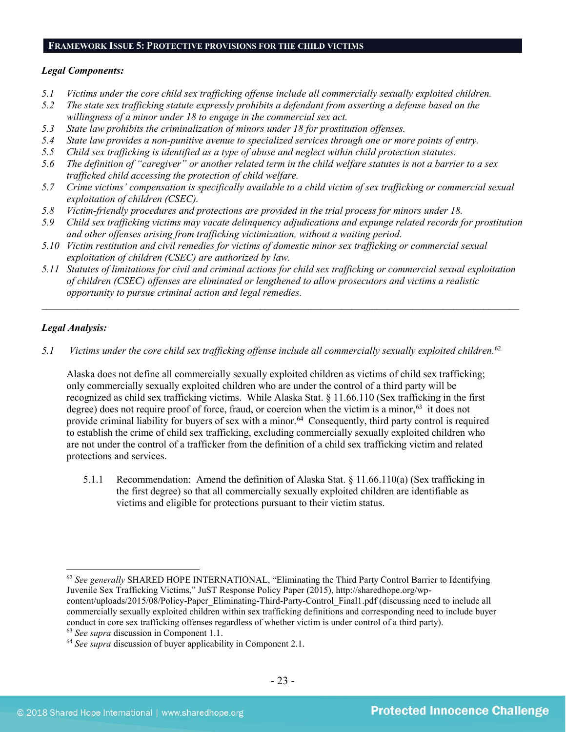# **FRAMEWORK ISSUE 5: PROTECTIVE PROVISIONS FOR THE CHILD VICTIMS**

# *Legal Components:*

- *5.1 Victims under the core child sex trafficking offense include all commercially sexually exploited children.*
- *5.2 The state sex trafficking statute expressly prohibits a defendant from asserting a defense based on the willingness of a minor under 18 to engage in the commercial sex act.*
- *5.3 State law prohibits the criminalization of minors under 18 for prostitution offenses.*
- *5.4 State law provides a non-punitive avenue to specialized services through one or more points of entry.*
- *5.5 Child sex trafficking is identified as a type of abuse and neglect within child protection statutes.*
- *5.6 The definition of "caregiver" or another related term in the child welfare statutes is not a barrier to a sex trafficked child accessing the protection of child welfare.*
- *5.7 Crime victims' compensation is specifically available to a child victim of sex trafficking or commercial sexual exploitation of children (CSEC).*
- *5.8 Victim-friendly procedures and protections are provided in the trial process for minors under 18.*
- *5.9 Child sex trafficking victims may vacate delinquency adjudications and expunge related records for prostitution and other offenses arising from trafficking victimization, without a waiting period.*
- *5.10 Victim restitution and civil remedies for victims of domestic minor sex trafficking or commercial sexual exploitation of children (CSEC) are authorized by law.*
- *5.11 Statutes of limitations for civil and criminal actions for child sex trafficking or commercial sexual exploitation of children (CSEC) offenses are eliminated or lengthened to allow prosecutors and victims a realistic opportunity to pursue criminal action and legal remedies.*

*\_\_\_\_\_\_\_\_\_\_\_\_\_\_\_\_\_\_\_\_\_\_\_\_\_\_\_\_\_\_\_\_\_\_\_\_\_\_\_\_\_\_\_\_\_\_\_\_\_\_\_\_\_\_\_\_\_\_\_\_\_\_\_\_\_\_\_\_\_\_\_\_\_\_\_\_\_\_\_\_\_\_\_\_\_\_\_\_\_\_\_\_\_\_*

# *Legal Analysis:*

*5.1 Victims under the core child sex trafficking offense include all commercially sexually exploited children.* [62](#page-22-0)

Alaska does not define all commercially sexually exploited children as victims of child sex trafficking; only commercially sexually exploited children who are under the control of a third party will be recognized as child sex trafficking victims. While Alaska Stat. § 11.66.110 (Sex trafficking in the first degree) does not require proof of force, fraud, or coercion when the victim is a minor,  $63$  it does not provide criminal liability for buyers of sex with a minor.<sup>[64](#page-22-2)</sup> Consequently, third party control is required to establish the crime of child sex trafficking, excluding commercially sexually exploited children who are not under the control of a trafficker from the definition of a child sex trafficking victim and related protections and services.

5.1.1 Recommendation: Amend the definition of Alaska Stat. § 11.66.110(a) (Sex trafficking in the first degree) so that all commercially sexually exploited children are identifiable as victims and eligible for protections pursuant to their victim status.

<span id="page-22-0"></span> <sup>62</sup> *See generally* SHARED HOPE INTERNATIONAL, "Eliminating the Third Party Control Barrier to Identifying Juvenile Sex Trafficking Victims," JuST Response Policy Paper (2015), http://sharedhope.org/wpcontent/uploads/2015/08/Policy-Paper\_Eliminating-Third-Party-Control\_Final1.pdf (discussing need to include all commercially sexually exploited children within sex trafficking definitions and corresponding need to include buyer conduct in core sex trafficking offenses regardless of whether victim is under control of a third party).

<span id="page-22-1"></span><sup>63</sup> *See supra* discussion in Component 1.1.

<span id="page-22-2"></span><sup>64</sup> *See supra* discussion of buyer applicability in Component 2.1.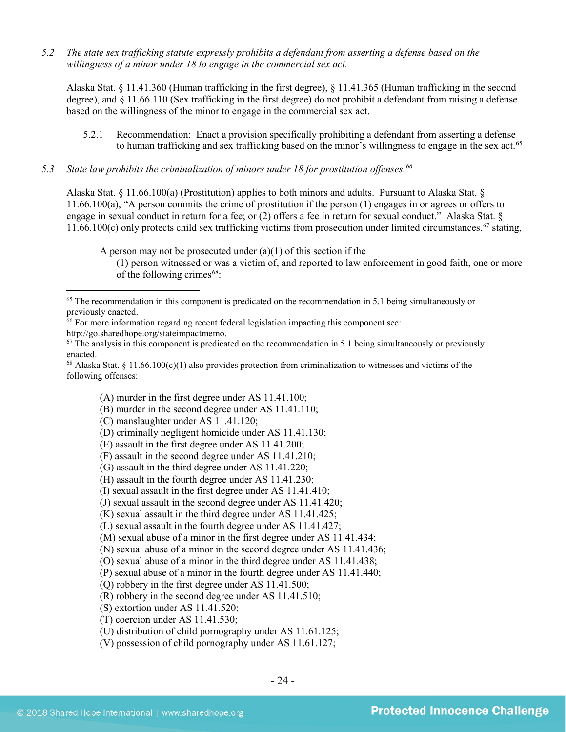*5.2 The state sex trafficking statute expressly prohibits a defendant from asserting a defense based on the willingness of a minor under 18 to engage in the commercial sex act.*

Alaska Stat. § 11.41.360 (Human trafficking in the first degree), § 11.41.365 (Human trafficking in the second degree), and § 11.66.110 (Sex trafficking in the first degree) do not prohibit a defendant from raising a defense based on the willingness of the minor to engage in the commercial sex act.

5.2.1 Recommendation: Enact a provision specifically prohibiting a defendant from asserting a defense to human trafficking and sex trafficking based on the minor's willingness to engage in the sex act.<sup>[65](#page-23-0)</sup>

# *5.3 State law prohibits the criminalization of minors under 18 for prostitution offenses.[66](#page-23-1)*

Alaska Stat. § 11.66.100(a) (Prostitution) applies to both minors and adults. Pursuant to Alaska Stat. § 11.66.100(a), "A person commits the crime of prostitution if the person (1) engages in or agrees or offers to engage in sexual conduct in return for a fee; or (2) offers a fee in return for sexual conduct." Alaska Stat. § 11.66.100 $(c)$  only protects child sex trafficking victims from prosecution under limited circumstances,  $67$  stating,

A person may not be prosecuted under  $(a)(1)$  of this section if the

(1) person witnessed or was a victim of, and reported to law enforcement in good faith, one or more of the following crimes $68$ :

http://go.sharedhope.org/stateimpactmemo.

<span id="page-23-2"></span> $67$  The analysis in this component is predicated on the recommendation in 5.1 being simultaneously or previously enacted.

<span id="page-23-3"></span><sup>68</sup> Alaska Stat. § 11.66.100(c)(1) also provides protection from criminalization to witnesses and victims of the following offenses:

(A) murder in the first degree under AS 11.41.100;

(B) murder in the second degree under AS 11.41.110;

(C) manslaughter under AS 11.41.120;

(E) assault in the first degree under AS 11.41.200;

- (G) assault in the third degree under AS 11.41.220;
- (H) assault in the fourth degree under AS 11.41.230;
- (I) sexual assault in the first degree under AS 11.41.410;
- (J) sexual assault in the second degree under AS 11.41.420;

(K) sexual assault in the third degree under AS 11.41.425;

(L) sexual assault in the fourth degree under AS 11.41.427;

(M) sexual abuse of a minor in the first degree under AS 11.41.434;

(N) sexual abuse of a minor in the second degree under AS 11.41.436;

(O) sexual abuse of a minor in the third degree under AS 11.41.438;

(P) sexual abuse of a minor in the fourth degree under AS 11.41.440;

(Q) robbery in the first degree under AS 11.41.500;

(R) robbery in the second degree under AS 11.41.510;

(S) extortion under AS 11.41.520;

(T) coercion under AS 11.41.530;

(U) distribution of child pornography under AS 11.61.125;

(V) possession of child pornography under AS 11.61.127;

<span id="page-23-0"></span><sup>&</sup>lt;sup>65</sup> The recommendation in this component is predicated on the recommendation in 5.1 being simultaneously or previously enacted.

<span id="page-23-1"></span> $66$  For more information regarding recent federal legislation impacting this component see:

<sup>(</sup>D) criminally negligent homicide under AS 11.41.130;

<sup>(</sup>F) assault in the second degree under AS 11.41.210;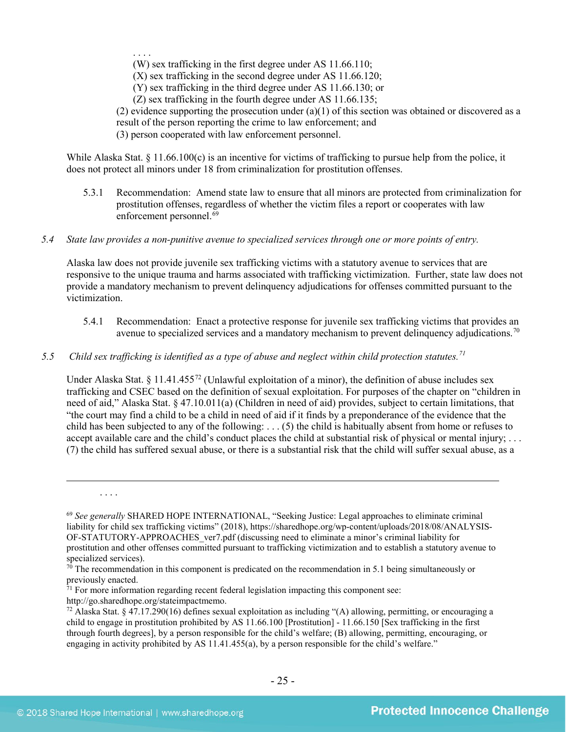. . . .

(W) sex trafficking in the first degree under AS 11.66.110;

(X) sex trafficking in the second degree under AS 11.66.120;

(Y) sex trafficking in the third degree under AS 11.66.130; or

(Z) sex trafficking in the fourth degree under AS 11.66.135;

(2) evidence supporting the prosecution under  $(a)(1)$  of this section was obtained or discovered as a result of the person reporting the crime to law enforcement; and

(3) person cooperated with law enforcement personnel.

While Alaska Stat. § 11.66.100(c) is an incentive for victims of trafficking to pursue help from the police, it does not protect all minors under 18 from criminalization for prostitution offenses.

- 5.3.1 Recommendation: Amend state law to ensure that all minors are protected from criminalization for prostitution offenses, regardless of whether the victim files a report or cooperates with law enforcement personnel. [69](#page-24-0)
- *5.4 State law provides a non-punitive avenue to specialized services through one or more points of entry.*

Alaska law does not provide juvenile sex trafficking victims with a statutory avenue to services that are responsive to the unique trauma and harms associated with trafficking victimization. Further, state law does not provide a mandatory mechanism to prevent delinquency adjudications for offenses committed pursuant to the victimization.

- 5.4.1 Recommendation: Enact a protective response for juvenile sex trafficking victims that provides an avenue to specialized services and a mandatory mechanism to prevent delinquency adjudications.<sup>[70](#page-24-1)</sup>
- *5.5 Child sex trafficking is identified as a type of abuse and neglect within child protection statutes. [71](#page-24-2)*

Under Alaska Stat. § 11.41.455<sup>[72](#page-24-3)</sup> (Unlawful exploitation of a minor), the definition of abuse includes sex trafficking and CSEC based on the definition of sexual exploitation. For purposes of the chapter on "children in need of aid," Alaska Stat. § 47.10.011(a) (Children in need of aid) provides, subject to certain limitations, that "the court may find a child to be a child in need of aid if it finds by a preponderance of the evidence that the child has been subjected to any of the following: . . . (5) the child is habitually absent from home or refuses to accept available care and the child's conduct places the child at substantial risk of physical or mental injury; ... (7) the child has suffered sexual abuse, or there is a substantial risk that the child will suffer sexual abuse, as a

 $\overline{a}$ 

. . . .

<span id="page-24-0"></span><sup>69</sup> *See generally* SHARED HOPE INTERNATIONAL, "Seeking Justice: Legal approaches to eliminate criminal liability for child sex trafficking victims" (2018), https://sharedhope.org/wp-content/uploads/2018/08/ANALYSIS-OF-STATUTORY-APPROACHES\_ver7.pdf (discussing need to eliminate a minor's criminal liability for prostitution and other offenses committed pursuant to trafficking victimization and to establish a statutory avenue to specialized services).

<span id="page-24-1"></span> $70$  The recommendation in this component is predicated on the recommendation in 5.1 being simultaneously or previously enacted.

<span id="page-24-2"></span> $71$  For more information regarding recent federal legislation impacting this component see: http://go.sharedhope.org/stateimpactmemo.

<span id="page-24-3"></span><sup>&</sup>lt;sup>72</sup> Alaska Stat. § 47.17.290(16) defines sexual exploitation as including "(A) allowing, permitting, or encouraging a child to engage in prostitution prohibited by AS 11.66.100 [Prostitution] - 11.66.150 [Sex trafficking in the first through fourth degrees], by a person responsible for the child's welfare; (B) allowing, permitting, encouraging, or engaging in activity prohibited by AS 11.41.455(a), by a person responsible for the child's welfare."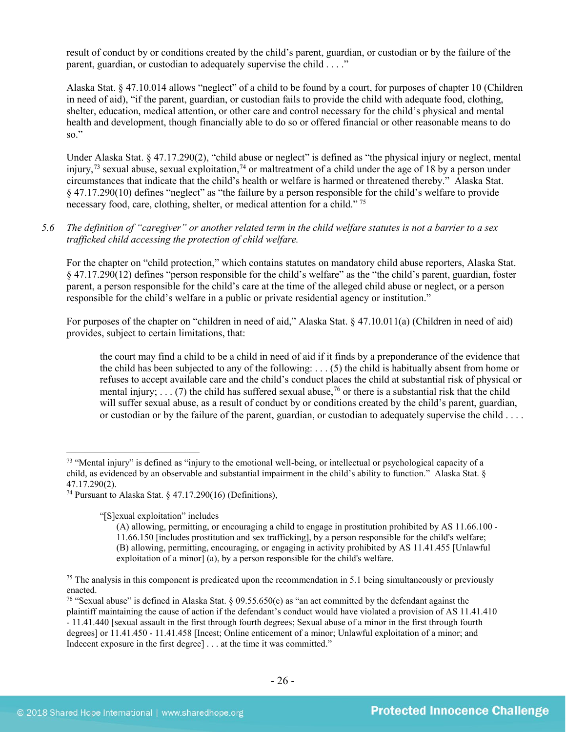result of conduct by or conditions created by the child's parent, guardian, or custodian or by the failure of the parent, guardian, or custodian to adequately supervise the child . . . ."

Alaska Stat. § 47.10.014 allows "neglect" of a child to be found by a court, for purposes of chapter 10 (Children in need of aid), "if the parent, guardian, or custodian fails to provide the child with adequate food, clothing, shelter, education, medical attention, or other care and control necessary for the child's physical and mental health and development, though financially able to do so or offered financial or other reasonable means to do so."

Under Alaska Stat. § 47.17.290(2), "child abuse or neglect" is defined as "the physical injury or neglect, mental injury,<sup>[73](#page-25-0)</sup> sexual abuse, sexual exploitation,<sup>[74](#page-25-1)</sup> or maltreatment of a child under the age of 18 by a person under circumstances that indicate that the child's health or welfare is harmed or threatened thereby." Alaska Stat. § 47.17.290(10) defines "neglect" as "the failure by a person responsible for the child's welfare to provide necessary food, care, clothing, shelter, or medical attention for a child." [75](#page-25-2)

# *5.6 The definition of "caregiver" or another related term in the child welfare statutes is not a barrier to a sex trafficked child accessing the protection of child welfare.*

For the chapter on "child protection," which contains statutes on mandatory child abuse reporters, Alaska Stat. § 47.17.290(12) defines "person responsible for the child's welfare" as the "the child's parent, guardian, foster parent, a person responsible for the child's care at the time of the alleged child abuse or neglect, or a person responsible for the child's welfare in a public or private residential agency or institution."

For purposes of the chapter on "children in need of aid," Alaska Stat. § 47.10.011(a) (Children in need of aid) provides, subject to certain limitations, that:

<span id="page-25-4"></span>the court may find a child to be a child in need of aid if it finds by a preponderance of the evidence that the child has been subjected to any of the following: . . . (5) the child is habitually absent from home or refuses to accept available care and the child's conduct places the child at substantial risk of physical or mental injury;  $\ldots$  (7) the child has suffered sexual abuse,<sup>[76](#page-25-3)</sup> or there is a substantial risk that the child will suffer sexual abuse, as a result of conduct by or conditions created by the child's parent, guardian, or custodian or by the failure of the parent, guardian, or custodian to adequately supervise the child . . . .

"[S]exual exploitation" includes

<span id="page-25-0"></span> $<sup>73</sup>$  "Mental injury" is defined as "injury to the emotional well-being, or intellectual or psychological capacity of a</sup> child, as evidenced by an observable and substantial impairment in the child's ability to function." Alaska Stat. § 47.17.290(2).

<span id="page-25-1"></span><sup>&</sup>lt;sup>74</sup> Pursuant to Alaska Stat. § 47.17.290(16) (Definitions),

<sup>(</sup>A) allowing, permitting, or encouraging a child to engage in prostitution prohibited by AS 11.66.100 - 11.66.150 [includes prostitution and sex trafficking], by a person responsible for the child's welfare; (B) allowing, permitting, encouraging, or engaging in activity prohibited by AS 11.41.455 [Unlawful exploitation of a minor] (a), by a person responsible for the child's welfare.

<span id="page-25-2"></span> $75$  The analysis in this component is predicated upon the recommendation in 5.1 being simultaneously or previously enacted.

<span id="page-25-3"></span><sup>76</sup> "Sexual abuse" is defined in Alaska Stat. § 09.55.650(c) as "an act committed by the defendant against the plaintiff maintaining the cause of action if the defendant's conduct would have violated a provision of AS 11.41.410 - 11.41.440 [sexual assault in the first through fourth degrees; Sexual abuse of a minor in the first through fourth degrees] or 11.41.450 - 11.41.458 [Incest; Online enticement of a minor; Unlawful exploitation of a minor; and Indecent exposure in the first degree] . . . at the time it was committed."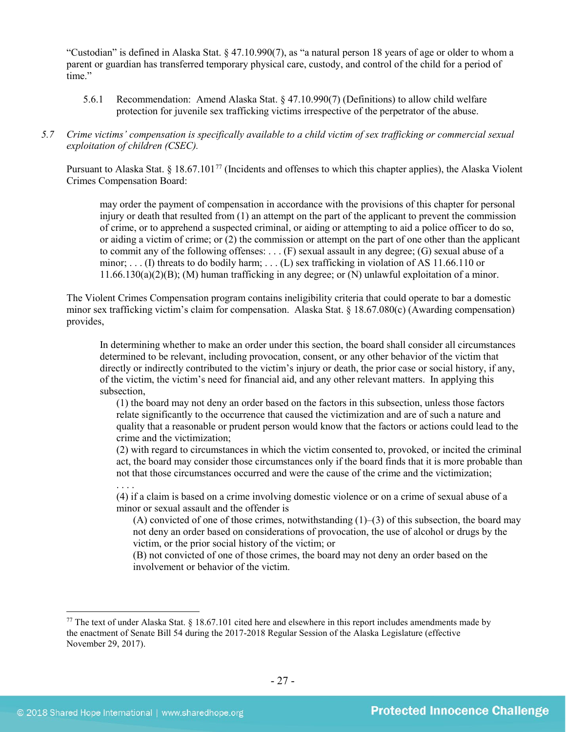"Custodian" is defined in Alaska Stat. § 47.10.990(7), as "a natural person 18 years of age or older to whom a parent or guardian has transferred temporary physical care, custody, and control of the child for a period of time."

- 5.6.1 Recommendation: Amend Alaska Stat. § 47.10.990(7) (Definitions) to allow child welfare protection for juvenile sex trafficking victims irrespective of the perpetrator of the abuse.
- *5.7 Crime victims' compensation is specifically available to a child victim of sex trafficking or commercial sexual exploitation of children (CSEC).*

Pursuant to Alaska Stat. § 18.67.101<sup>[77](#page-26-0)</sup> (Incidents and offenses to which this chapter applies), the Alaska Violent Crimes Compensation Board:

may order the payment of compensation in accordance with the provisions of this chapter for personal injury or death that resulted from (1) an attempt on the part of the applicant to prevent the commission of crime, or to apprehend a suspected criminal, or aiding or attempting to aid a police officer to do so, or aiding a victim of crime; or (2) the commission or attempt on the part of one other than the applicant to commit any of the following offenses: . . . (F) sexual assault in any degree; (G) sexual abuse of a minor; ... (I) threats to do bodily harm; ... (L) sex trafficking in violation of AS 11.66.110 or 11.66.130(a)(2)(B); (M) human trafficking in any degree; or (N) unlawful exploitation of a minor.

The Violent Crimes Compensation program contains ineligibility criteria that could operate to bar a domestic minor sex trafficking victim's claim for compensation. Alaska Stat. § 18.67.080(c) (Awarding compensation) provides,

In determining whether to make an order under this section, the board shall consider all circumstances determined to be relevant, including provocation, consent, or any other behavior of the victim that directly or indirectly contributed to the victim's injury or death, the prior case or social history, if any, of the victim, the victim's need for financial aid, and any other relevant matters. In applying this subsection,

(1) the board may not deny an order based on the factors in this subsection, unless those factors relate significantly to the occurrence that caused the victimization and are of such a nature and quality that a reasonable or prudent person would know that the factors or actions could lead to the crime and the victimization;

(2) with regard to circumstances in which the victim consented to, provoked, or incited the criminal act, the board may consider those circumstances only if the board finds that it is more probable than not that those circumstances occurred and were the cause of the crime and the victimization;

(4) if a claim is based on a crime involving domestic violence or on a crime of sexual abuse of a minor or sexual assault and the offender is

(A) convicted of one of those crimes, notwithstanding  $(1)$ – $(3)$  of this subsection, the board may not deny an order based on considerations of provocation, the use of alcohol or drugs by the victim, or the prior social history of the victim; or

(B) not convicted of one of those crimes, the board may not deny an order based on the involvement or behavior of the victim.

. . . .

<span id="page-26-0"></span> $77$  The text of under Alaska Stat.  $\frac{818.67.101}{1}$  cited here and elsewhere in this report includes amendments made by the enactment of Senate Bill 54 during the 2017-2018 Regular Session of the Alaska Legislature (effective November 29, 2017).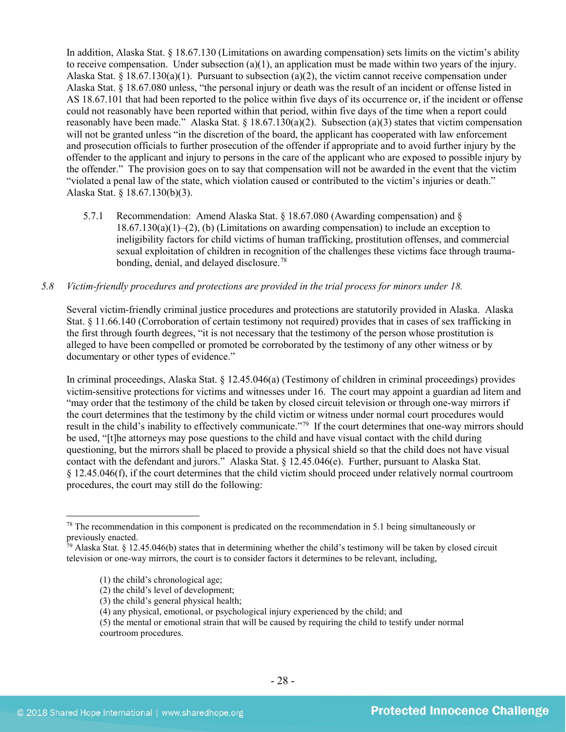In addition, Alaska Stat. § 18.67.130 (Limitations on awarding compensation) sets limits on the victim's ability to receive compensation. Under subsection (a)(1), an application must be made within two years of the injury. Alaska Stat. § 18.67.130(a)(1). Pursuant to subsection (a)(2), the victim cannot receive compensation under Alaska Stat. § 18.67.080 unless, "the personal injury or death was the result of an incident or offense listed in AS 18.67.101 that had been reported to the police within five days of its occurrence or, if the incident or offense could not reasonably have been reported within that period, within five days of the time when a report could reasonably have been made." Alaska Stat. § 18.67.130(a)(2). Subsection (a)(3) states that victim compensation will not be granted unless "in the discretion of the board, the applicant has cooperated with law enforcement and prosecution officials to further prosecution of the offender if appropriate and to avoid further injury by the offender to the applicant and injury to persons in the care of the applicant who are exposed to possible injury by the offender." The provision goes on to say that compensation will not be awarded in the event that the victim "violated a penal law of the state, which violation caused or contributed to the victim's injuries or death." Alaska Stat. § 18.67.130(b)(3).

5.7.1 Recommendation: Amend Alaska Stat. § 18.67.080 (Awarding compensation) and §  $18.67.130(a)(1)–(2)$ , (b) (Limitations on awarding compensation) to include an exception to ineligibility factors for child victims of human trafficking, prostitution offenses, and commercial sexual exploitation of children in recognition of the challenges these victims face through traumabonding, denial, and delayed disclosure.[78](#page-27-0)

## *5.8 Victim-friendly procedures and protections are provided in the trial process for minors under 18.*

Several victim-friendly criminal justice procedures and protections are statutorily provided in Alaska. Alaska Stat. § 11.66.140 (Corroboration of certain testimony not required) provides that in cases of sex trafficking in the first through fourth degrees, "it is not necessary that the testimony of the person whose prostitution is alleged to have been compelled or promoted be corroborated by the testimony of any other witness or by documentary or other types of evidence."

In criminal proceedings, Alaska Stat. § 12.45.046(a) (Testimony of children in criminal proceedings) provides victim-sensitive protections for victims and witnesses under 16. The court may appoint a guardian ad litem and "may order that the testimony of the child be taken by closed circuit television or through one-way mirrors if the court determines that the testimony by the child victim or witness under normal court procedures would result in the child's inability to effectively communicate."[79](#page-27-1) If the court determines that one-way mirrors should be used, "[t]he attorneys may pose questions to the child and have visual contact with the child during questioning, but the mirrors shall be placed to provide a physical shield so that the child does not have visual contact with the defendant and jurors." Alaska Stat. § 12.45.046(e). Further, pursuant to Alaska Stat. § 12.45.046(f), if the court determines that the child victim should proceed under relatively normal courtroom procedures, the court may still do the following:

- (1) the child's chronological age;
- (2) the child's level of development;
- (3) the child's general physical health;
- (4) any physical, emotional, or psychological injury experienced by the child; and

<span id="page-27-0"></span> $78$  The recommendation in this component is predicated on the recommendation in 5.1 being simultaneously or previously enacted.

<span id="page-27-1"></span><sup>&</sup>lt;sup>79</sup> Alaska Stat. § 12.45.046(b) states that in determining whether the child's testimony will be taken by closed circuit television or one-way mirrors, the court is to consider factors it determines to be relevant, including,

<sup>(5)</sup> the mental or emotional strain that will be caused by requiring the child to testify under normal courtroom procedures.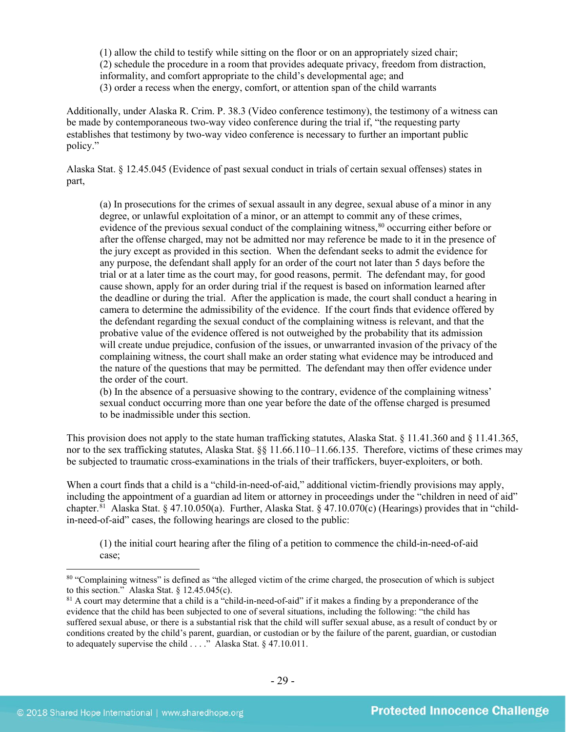(1) allow the child to testify while sitting on the floor or on an appropriately sized chair; (2) schedule the procedure in a room that provides adequate privacy, freedom from distraction, informality, and comfort appropriate to the child's developmental age; and (3) order a recess when the energy, comfort, or attention span of the child warrants

Additionally, under Alaska R. Crim. P. 38.3 (Video conference testimony), the testimony of a witness can be made by contemporaneous two-way video conference during the trial if, "the requesting party establishes that testimony by two-way video conference is necessary to further an important public policy."

Alaska Stat. § 12.45.045 (Evidence of past sexual conduct in trials of certain sexual offenses) states in part,

(a) In prosecutions for the crimes of sexual assault in any degree, sexual abuse of a minor in any degree, or unlawful exploitation of a minor, or an attempt to commit any of these crimes, evidence of the previous sexual conduct of the complaining witness,<sup>[80](#page-28-0)</sup> occurring either before or after the offense charged, may not be admitted nor may reference be made to it in the presence of the jury except as provided in this section. When the defendant seeks to admit the evidence for any purpose, the defendant shall apply for an order of the court not later than 5 days before the trial or at a later time as the court may, for good reasons, permit. The defendant may, for good cause shown, apply for an order during trial if the request is based on information learned after the deadline or during the trial. After the application is made, the court shall conduct a hearing in camera to determine the admissibility of the evidence. If the court finds that evidence offered by the defendant regarding the sexual conduct of the complaining witness is relevant, and that the probative value of the evidence offered is not outweighed by the probability that its admission will create undue prejudice, confusion of the issues, or unwarranted invasion of the privacy of the complaining witness, the court shall make an order stating what evidence may be introduced and the nature of the questions that may be permitted. The defendant may then offer evidence under the order of the court.

(b) In the absence of a persuasive showing to the contrary, evidence of the complaining witness' sexual conduct occurring more than one year before the date of the offense charged is presumed to be inadmissible under this section.

This provision does not apply to the state human trafficking statutes, Alaska Stat. § 11.41.360 and § 11.41.365, nor to the sex trafficking statutes, Alaska Stat. §§ 11.66.110–11.66.135. Therefore, victims of these crimes may be subjected to traumatic cross-examinations in the trials of their traffickers, buyer-exploiters, or both.

When a court finds that a child is a "child-in-need-of-aid," additional victim-friendly provisions may apply, including the appointment of a guardian ad litem or attorney in proceedings under the "children in need of aid" chapter.<sup>81</sup> Alaska Stat. § 47.10.050(a). Further, Alaska Stat. § 47.10.070(c) (Hearings) provides that in "childin-need-of-aid" cases, the following hearings are closed to the public:

(1) the initial court hearing after the filing of a petition to commence the child-in-need-of-aid case;

<span id="page-28-0"></span><sup>&</sup>lt;sup>80</sup> "Complaining witness" is defined as "the alleged victim of the crime charged, the prosecution of which is subject to this section." Alaska Stat. § 12.45.045(c).

<span id="page-28-1"></span><sup>&</sup>lt;sup>81</sup> A court may determine that a child is a "child-in-need-of-aid" if it makes a finding by a preponderance of the evidence that the child has been subjected to one of several situations, including the following: "the child has suffered sexual abuse, or there is a substantial risk that the child will suffer sexual abuse, as a result of conduct by or conditions created by the child's parent, guardian, or custodian or by the failure of the parent, guardian, or custodian to adequately supervise the child . . . ." Alaska Stat. § 47.10.011.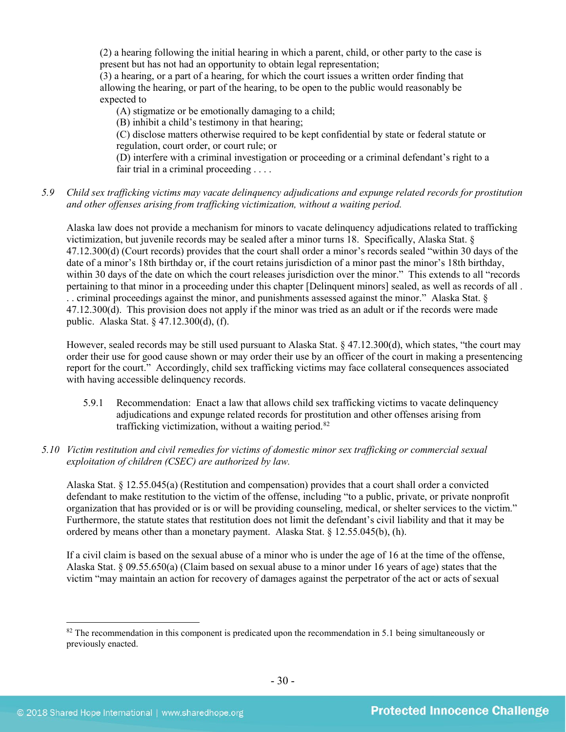(2) a hearing following the initial hearing in which a parent, child, or other party to the case is present but has not had an opportunity to obtain legal representation;

(3) a hearing, or a part of a hearing, for which the court issues a written order finding that allowing the hearing, or part of the hearing, to be open to the public would reasonably be expected to

(A) stigmatize or be emotionally damaging to a child;

(B) inhibit a child's testimony in that hearing;

(C) disclose matters otherwise required to be kept confidential by state or federal statute or regulation, court order, or court rule; or

(D) interfere with a criminal investigation or proceeding or a criminal defendant's right to a fair trial in a criminal proceeding . . . .

*5.9 Child sex trafficking victims may vacate delinquency adjudications and expunge related records for prostitution and other offenses arising from trafficking victimization, without a waiting period.*

Alaska law does not provide a mechanism for minors to vacate delinquency adjudications related to trafficking victimization, but juvenile records may be sealed after a minor turns 18. Specifically, Alaska Stat. § 47.12.300(d) (Court records) provides that the court shall order a minor's records sealed "within 30 days of the date of a minor's 18th birthday or, if the court retains jurisdiction of a minor past the minor's 18th birthday, within 30 days of the date on which the court releases jurisdiction over the minor." This extends to all "records pertaining to that minor in a proceeding under this chapter [Delinquent minors] sealed, as well as records of all . . . criminal proceedings against the minor, and punishments assessed against the minor." Alaska Stat. § 47.12.300(d). This provision does not apply if the minor was tried as an adult or if the records were made public. Alaska Stat. § 47.12.300(d), (f).

However, sealed records may be still used pursuant to Alaska Stat. § 47.12.300(d), which states, "the court may order their use for good cause shown or may order their use by an officer of the court in making a presentencing report for the court." Accordingly, child sex trafficking victims may face collateral consequences associated with having accessible delinquency records.

- 5.9.1 Recommendation: Enact a law that allows child sex trafficking victims to vacate delinquency adjudications and expunge related records for prostitution and other offenses arising from trafficking victimization, without a waiting period.<sup>[82](#page-29-0)</sup>
- *5.10 Victim restitution and civil remedies for victims of domestic minor sex trafficking or commercial sexual exploitation of children (CSEC) are authorized by law.*

Alaska Stat. § 12.55.045(a) (Restitution and compensation) provides that a court shall order a convicted defendant to make restitution to the victim of the offense, including "to a public, private, or private nonprofit organization that has provided or is or will be providing counseling, medical, or shelter services to the victim." Furthermore, the statute states that restitution does not limit the defendant's civil liability and that it may be ordered by means other than a monetary payment. Alaska Stat. § 12.55.045(b), (h).

If a civil claim is based on the sexual abuse of a minor who is under the age of 16 at the time of the offense, Alaska Stat. § 09.55.650(a) (Claim based on sexual abuse to a minor under 16 years of age) states that the victim "may maintain an action for recovery of damages against the perpetrator of the act or acts of sexual

<span id="page-29-0"></span> $82$  The recommendation in this component is predicated upon the recommendation in 5.1 being simultaneously or previously enacted.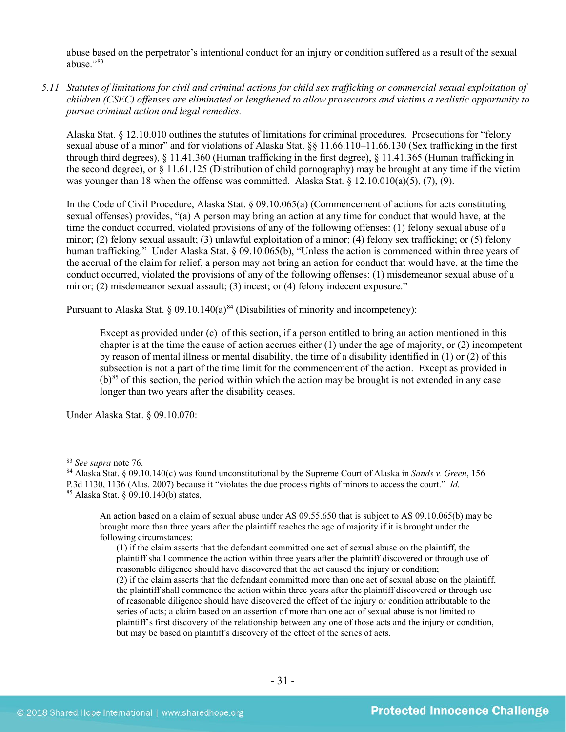abuse based on the perpetrator's intentional conduct for an injury or condition suffered as a result of the sexual abuse<sup>"[83](#page-30-0)</sup>

*5.11 Statutes of limitations for civil and criminal actions for child sex trafficking or commercial sexual exploitation of children (CSEC) offenses are eliminated or lengthened to allow prosecutors and victims a realistic opportunity to pursue criminal action and legal remedies.*

Alaska Stat. § 12.10.010 outlines the statutes of limitations for criminal procedures. Prosecutions for "felony sexual abuse of a minor" and for violations of Alaska Stat. §§ 11.66.110–11.66.130 (Sex trafficking in the first through third degrees), § 11.41.360 (Human trafficking in the first degree), § 11.41.365 (Human trafficking in the second degree), or  $\S 11.61.125$  (Distribution of child pornography) may be brought at any time if the victim was younger than 18 when the offense was committed. Alaska Stat.  $\S$  12.10.010(a)(5), (7), (9).

In the Code of Civil Procedure, Alaska Stat. § 09.10.065(a) (Commencement of actions for acts constituting sexual offenses) provides, "(a) A person may bring an action at any time for conduct that would have, at the time the conduct occurred, violated provisions of any of the following offenses: (1) felony sexual abuse of a minor; (2) felony sexual assault; (3) unlawful exploitation of a minor; (4) felony sex trafficking; or (5) felony human trafficking." Under Alaska Stat. § 09.10.065(b), "Unless the action is commenced within three years of the accrual of the claim for relief, a person may not bring an action for conduct that would have, at the time the conduct occurred, violated the provisions of any of the following offenses: (1) misdemeanor sexual abuse of a minor; (2) misdemeanor sexual assault; (3) incest; or (4) felony indecent exposure."

Pursuant to Alaska Stat. § 09.10.140(a)<sup>[84](#page-30-1)</sup> (Disabilities of minority and incompetency):

Except as provided under (c) of this section, if a person entitled to bring an action mentioned in this chapter is at the time the cause of action accrues either (1) under the age of majority, or (2) incompetent by reason of mental illness or mental disability, the time of a disability identified in (1) or (2) of this subsection is not a part of the time limit for the commencement of the action. Except as provided in  $(b)$ <sup>[85](#page-30-2)</sup> of this section, the period within which the action may be brought is not extended in any case longer than two years after the disability ceases.

Under Alaska Stat. § 09.10.070:

P.3d 1130, 1136 (Alas. 2007) because it "violates the due process rights of minors to access the court." *Id.*

<span id="page-30-0"></span> <sup>83</sup> *See supra* note [76.](#page-25-4)

<span id="page-30-1"></span><sup>84</sup> Alaska Stat. § 09.10.140(c) was found unconstitutional by the Supreme Court of Alaska in *Sands v. Green*, 156

<span id="page-30-2"></span><sup>85</sup> Alaska Stat. § 09.10.140(b) states,

An action based on a claim of sexual abuse under AS 09.55.650 that is subject to AS 09.10.065(b) may be brought more than three years after the plaintiff reaches the age of majority if it is brought under the following circumstances:

<sup>(1)</sup> if the claim asserts that the defendant committed one act of sexual abuse on the plaintiff, the plaintiff shall commence the action within three years after the plaintiff discovered or through use of reasonable diligence should have discovered that the act caused the injury or condition; (2) if the claim asserts that the defendant committed more than one act of sexual abuse on the plaintiff, the plaintiff shall commence the action within three years after the plaintiff discovered or through use of reasonable diligence should have discovered the effect of the injury or condition attributable to the series of acts; a claim based on an assertion of more than one act of sexual abuse is not limited to plaintiff's first discovery of the relationship between any one of those acts and the injury or condition, but may be based on plaintiff's discovery of the effect of the series of acts.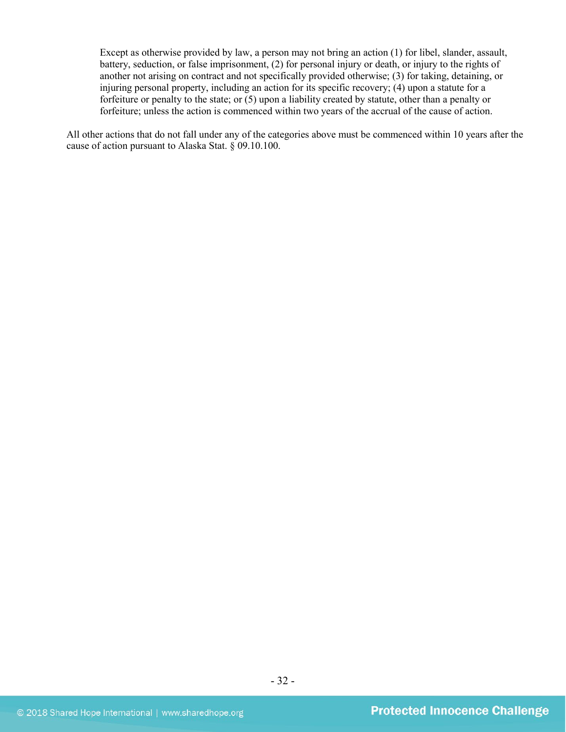Except as otherwise provided by law, a person may not bring an action (1) for libel, slander, assault, battery, seduction, or false imprisonment, (2) for personal injury or death, or injury to the rights of another not arising on contract and not specifically provided otherwise; (3) for taking, detaining, or injuring personal property, including an action for its specific recovery; (4) upon a statute for a forfeiture or penalty to the state; or (5) upon a liability created by statute, other than a penalty or forfeiture; unless the action is commenced within two years of the accrual of the cause of action.

All other actions that do not fall under any of the categories above must be commenced within 10 years after the cause of action pursuant to Alaska Stat. § 09.10.100.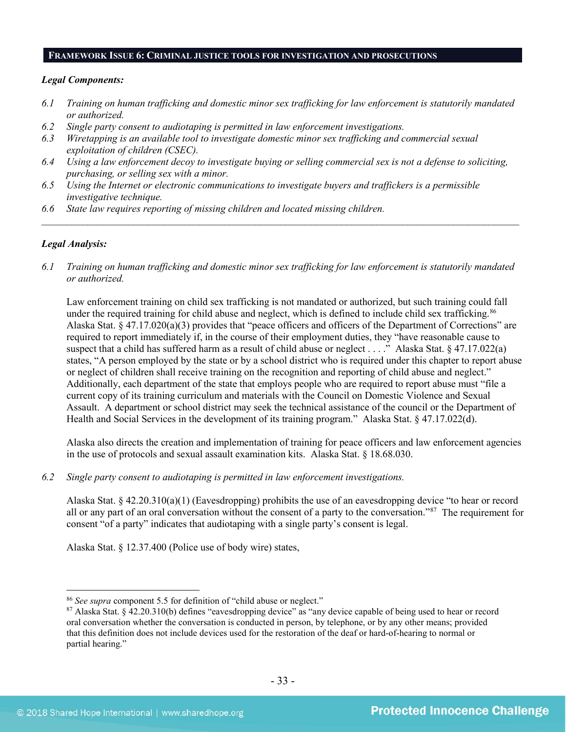#### **FRAMEWORK ISSUE 6: CRIMINAL JUSTICE TOOLS FOR INVESTIGATION AND PROSECUTIONS**

#### *Legal Components:*

- *6.1 Training on human trafficking and domestic minor sex trafficking for law enforcement is statutorily mandated or authorized.*
- *6.2 Single party consent to audiotaping is permitted in law enforcement investigations.*
- *6.3 Wiretapping is an available tool to investigate domestic minor sex trafficking and commercial sexual exploitation of children (CSEC).*
- *6.4 Using a law enforcement decoy to investigate buying or selling commercial sex is not a defense to soliciting, purchasing, or selling sex with a minor.*
- *6.5 Using the Internet or electronic communications to investigate buyers and traffickers is a permissible investigative technique.*
- *6.6 State law requires reporting of missing children and located missing children.*

#### *Legal Analysis:*

*6.1 Training on human trafficking and domestic minor sex trafficking for law enforcement is statutorily mandated or authorized.*

*\_\_\_\_\_\_\_\_\_\_\_\_\_\_\_\_\_\_\_\_\_\_\_\_\_\_\_\_\_\_\_\_\_\_\_\_\_\_\_\_\_\_\_\_\_\_\_\_\_\_\_\_\_\_\_\_\_\_\_\_\_\_\_\_\_\_\_\_\_\_\_\_\_\_\_\_\_\_\_\_\_\_\_\_\_\_\_\_\_\_\_\_\_\_*

Law enforcement training on child sex trafficking is not mandated or authorized, but such training could fall under the required training for child abuse and neglect, which is defined to include child sex trafficking.<sup>[86](#page-32-0)</sup> Alaska Stat. § 47.17.020(a)(3) provides that "peace officers and officers of the Department of Corrections" are required to report immediately if, in the course of their employment duties, they "have reasonable cause to suspect that a child has suffered harm as a result of child abuse or neglect . . . ." Alaska Stat. § 47.17.022(a) states, "A person employed by the state or by a school district who is required under this chapter to report abuse or neglect of children shall receive training on the recognition and reporting of child abuse and neglect." Additionally, each department of the state that employs people who are required to report abuse must "file a current copy of its training curriculum and materials with the Council on Domestic Violence and Sexual Assault. A department or school district may seek the technical assistance of the council or the Department of Health and Social Services in the development of its training program." Alaska Stat. § 47.17.022(d).

Alaska also directs the creation and implementation of training for peace officers and law enforcement agencies in the use of protocols and sexual assault examination kits. Alaska Stat. § 18.68.030.

*6.2 Single party consent to audiotaping is permitted in law enforcement investigations.*

Alaska Stat. § 42.20.310(a)(1) (Eavesdropping) prohibits the use of an eavesdropping device "to hear or record all or any part of an oral conversation without the consent of a party to the conversation."[87](#page-32-1) The requirement for consent "of a party" indicates that audiotaping with a single party's consent is legal.

Alaska Stat. § 12.37.400 (Police use of body wire) states,

<span id="page-32-0"></span> <sup>86</sup> *See supra* component 5.5 for definition of "child abuse or neglect."

<span id="page-32-1"></span><sup>87</sup> Alaska Stat. § 42.20.310(b) defines "eavesdropping device" as "any device capable of being used to hear or record oral conversation whether the conversation is conducted in person, by telephone, or by any other means; provided that this definition does not include devices used for the restoration of the deaf or hard-of-hearing to normal or partial hearing."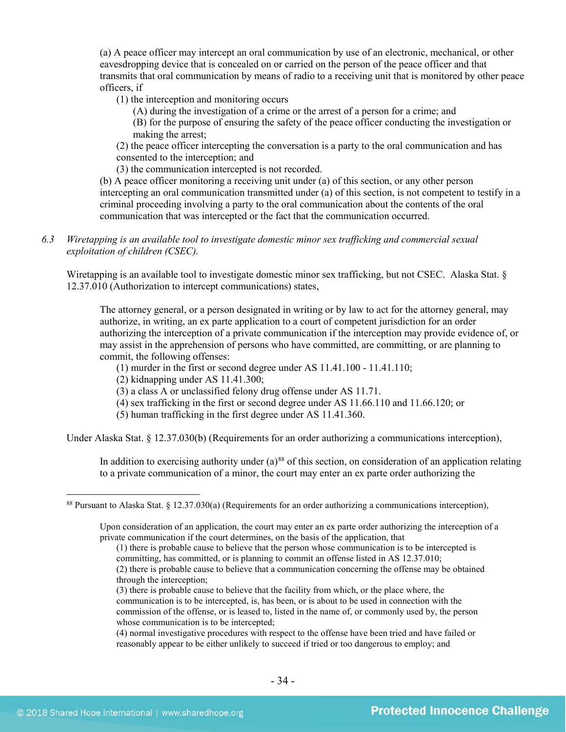(a) A peace officer may intercept an oral communication by use of an electronic, mechanical, or other eavesdropping device that is concealed on or carried on the person of the peace officer and that transmits that oral communication by means of radio to a receiving unit that is monitored by other peace officers, if

(1) the interception and monitoring occurs

(A) during the investigation of a crime or the arrest of a person for a crime; and

(B) for the purpose of ensuring the safety of the peace officer conducting the investigation or making the arrest;

(2) the peace officer intercepting the conversation is a party to the oral communication and has consented to the interception; and

(3) the communication intercepted is not recorded.

(b) A peace officer monitoring a receiving unit under (a) of this section, or any other person intercepting an oral communication transmitted under (a) of this section, is not competent to testify in a criminal proceeding involving a party to the oral communication about the contents of the oral communication that was intercepted or the fact that the communication occurred.

*6.3 Wiretapping is an available tool to investigate domestic minor sex trafficking and commercial sexual exploitation of children (CSEC).* 

Wiretapping is an available tool to investigate domestic minor sex trafficking, but not CSEC. Alaska Stat. § 12.37.010 (Authorization to intercept communications) states,

The attorney general, or a person designated in writing or by law to act for the attorney general, may authorize, in writing, an ex parte application to a court of competent jurisdiction for an order authorizing the interception of a private communication if the interception may provide evidence of, or may assist in the apprehension of persons who have committed, are committing, or are planning to commit, the following offenses:

(1) murder in the first or second degree under AS 11.41.100 - 11.41.110;

(2) kidnapping under AS 11.41.300;

(3) a class A or unclassified felony drug offense under AS 11.71.

- (4) sex trafficking in the first or second degree under AS 11.66.110 and 11.66.120; or
- (5) human trafficking in the first degree under AS 11.41.360.

Under Alaska Stat. § 12.37.030(b) (Requirements for an order authorizing a communications interception),

In addition to exercising authority under  $(a)^{88}$  $(a)^{88}$  $(a)^{88}$  of this section, on consideration of an application relating to a private communication of a minor, the court may enter an ex parte order authorizing the

(4) normal investigative procedures with respect to the offense have been tried and have failed or reasonably appear to be either unlikely to succeed if tried or too dangerous to employ; and

<span id="page-33-0"></span><sup>&</sup>lt;sup>88</sup> Pursuant to Alaska Stat. § 12.37.030(a) (Requirements for an order authorizing a communications interception),

Upon consideration of an application, the court may enter an ex parte order authorizing the interception of a private communication if the court determines, on the basis of the application, that

<sup>(1)</sup> there is probable cause to believe that the person whose communication is to be intercepted is committing, has committed, or is planning to commit an offense listed in AS 12.37.010;

<sup>(2)</sup> there is probable cause to believe that a communication concerning the offense may be obtained through the interception;

<sup>(3)</sup> there is probable cause to believe that the facility from which, or the place where, the communication is to be intercepted, is, has been, or is about to be used in connection with the commission of the offense, or is leased to, listed in the name of, or commonly used by, the person whose communication is to be intercepted;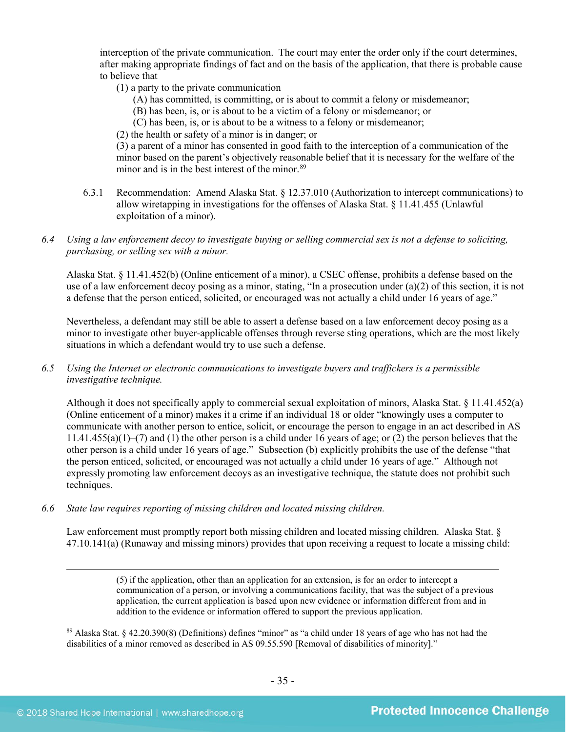interception of the private communication. The court may enter the order only if the court determines, after making appropriate findings of fact and on the basis of the application, that there is probable cause to believe that

- (1) a party to the private communication
	- (A) has committed, is committing, or is about to commit a felony or misdemeanor;
	- (B) has been, is, or is about to be a victim of a felony or misdemeanor; or
	- (C) has been, is, or is about to be a witness to a felony or misdemeanor;
- (2) the health or safety of a minor is in danger; or

(3) a parent of a minor has consented in good faith to the interception of a communication of the minor based on the parent's objectively reasonable belief that it is necessary for the welfare of the minor and is in the best interest of the minor.<sup>89</sup>

- 6.3.1 Recommendation: Amend Alaska Stat. § 12.37.010 (Authorization to intercept communications) to allow wiretapping in investigations for the offenses of Alaska Stat. § 11.41.455 (Unlawful exploitation of a minor).
- *6.4 Using a law enforcement decoy to investigate buying or selling commercial sex is not a defense to soliciting, purchasing, or selling sex with a minor.*

Alaska Stat. § 11.41.452(b) (Online enticement of a minor), a CSEC offense, prohibits a defense based on the use of a law enforcement decoy posing as a minor, stating, "In a prosecution under  $(a)(2)$  of this section, it is not a defense that the person enticed, solicited, or encouraged was not actually a child under 16 years of age."

Nevertheless, a defendant may still be able to assert a defense based on a law enforcement decoy posing as a minor to investigate other buyer-applicable offenses through reverse sting operations, which are the most likely situations in which a defendant would try to use such a defense.

*6.5 Using the Internet or electronic communications to investigate buyers and traffickers is a permissible investigative technique.*

Although it does not specifically apply to commercial sexual exploitation of minors, Alaska Stat. § 11.41.452(a) (Online enticement of a minor) makes it a crime if an individual 18 or older "knowingly uses a computer to communicate with another person to entice, solicit, or encourage the person to engage in an act described in AS  $11.41.455(a)(1)$ –(7) and (1) the other person is a child under 16 years of age; or (2) the person believes that the other person is a child under 16 years of age." Subsection (b) explicitly prohibits the use of the defense "that the person enticed, solicited, or encouraged was not actually a child under 16 years of age." Although not expressly promoting law enforcement decoys as an investigative technique, the statute does not prohibit such techniques.

*6.6 State law requires reporting of missing children and located missing children.* 

Law enforcement must promptly report both missing children and located missing children. Alaska Stat. § 47.10.141(a) (Runaway and missing minors) provides that upon receiving a request to locate a missing child:

> (5) if the application, other than an application for an extension, is for an order to intercept a communication of a person, or involving a communications facility, that was the subject of a previous application, the current application is based upon new evidence or information different from and in addition to the evidence or information offered to support the previous application.

<span id="page-34-0"></span><sup>89</sup> Alaska Stat. § 42.20.390(8) (Definitions) defines "minor" as "a child under 18 years of age who has not had the disabilities of a minor removed as described in AS 09.55.590 [Removal of disabilities of minority]."